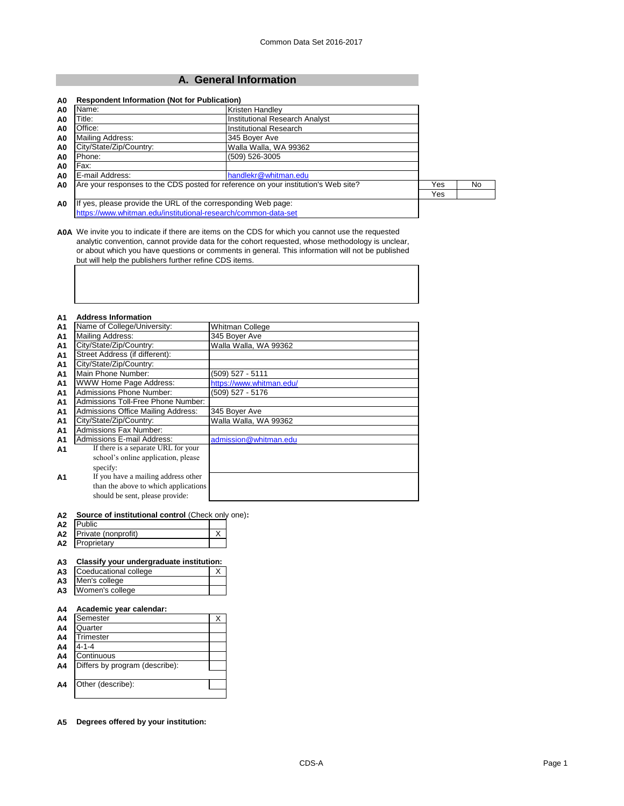# **A. General Information**

| Name:<br>A0                        | Kristen Handley                                                                    |     |     |
|------------------------------------|------------------------------------------------------------------------------------|-----|-----|
| Title:<br>A0                       | <b>Institutional Research Analyst</b>                                              |     |     |
| Office:<br>A <sub>0</sub>          | <b>Institutional Research</b>                                                      |     |     |
| Mailing Address:<br>A <sub>0</sub> | 345 Boyer Ave                                                                      |     |     |
| City/State/Zip/Country:<br>A0      | Walla Walla, WA 99362                                                              |     |     |
| Phone:                             | (509) 526-3005                                                                     |     |     |
| Fax:                               |                                                                                    |     |     |
| E-mail Address:                    | handlekr@whitman.edu                                                               |     |     |
|                                    | Are your responses to the CDS posted for reference on your institution's Web site? | Yes | No. |
|                                    |                                                                                    | Yes |     |
|                                    | If yes, please provide the URL of the corresponding Web page:                      |     |     |
|                                    | https://www.whitman.edu/institutional-research/common-data-set                     |     |     |

**A0A** We invite you to indicate if there are items on the CDS for which you cannot use the requested analytic convention, cannot provide data for the cohort requested, whose methodology is unclear, or about which you have questions or comments in general. This information will not be published but will help the publishers further refine CDS items.

### **A1 Address Information**

| A1             | Name of College/University:          | Whitman College          |
|----------------|--------------------------------------|--------------------------|
| A1             | <b>Mailing Address:</b>              | 345 Boyer Ave            |
| A <sub>1</sub> | City/State/Zip/Country:              | Walla Walla, WA 99362    |
| A <sub>1</sub> | Street Address (if different):       |                          |
| A <sub>1</sub> | City/State/Zip/Country:              |                          |
| A <sub>1</sub> | Main Phone Number:                   | (509) 527 - 5111         |
| A <sub>1</sub> | WWW Home Page Address:               | https://www.whitman.edu/ |
| A <sub>1</sub> | <b>Admissions Phone Number:</b>      | (509) 527 - 5176         |
| A <sub>1</sub> | Admissions Toll-Free Phone Number:   |                          |
| A <sub>1</sub> | Admissions Office Mailing Address:   | 345 Boyer Ave            |
| A1             | City/State/Zip/Country:              | Walla Walla, WA 99362    |
| A1             | <b>Admissions Fax Number:</b>        |                          |
| A1             | Admissions E-mail Address:           | admission@whitman.edu    |
| A1             | If there is a separate URL for your  |                          |
|                | school's online application, please  |                          |
|                | specify:                             |                          |
| A1             | If you have a mailing address other  |                          |
|                | than the above to which applications |                          |
|                | should be sent, please provide:      |                          |

|  | A2 Source of institutional control (Check only one): |  |  |  |
|--|------------------------------------------------------|--|--|--|
|--|------------------------------------------------------|--|--|--|

| A2 | Public              |  |
|----|---------------------|--|
| A2 | Private (nonprofit) |  |
| A2 | Proprietary         |  |
|    |                     |  |

|  | A <sub>3</sub> |  |  |  |  |  |  | Classify your undergraduate institution: |  |
|--|----------------|--|--|--|--|--|--|------------------------------------------|--|
|--|----------------|--|--|--|--|--|--|------------------------------------------|--|

- **A3** Coeducational college X<br> **A3** Men's college
- **A3** Men's college
- **A3** Women's college

### **A4 Academic year calendar:**

| A4             | Semester                       | Х |  |
|----------------|--------------------------------|---|--|
| A4             | Quarter                        |   |  |
| A4             | Trimester                      |   |  |
| A4             | $4 - 1 - 4$                    |   |  |
| A4             | Continuous                     |   |  |
| A <sub>4</sub> | Differs by program (describe): |   |  |
|                |                                |   |  |
| A4             | Other (describe):              |   |  |
|                |                                |   |  |

**A5 Degrees offered by your institution:**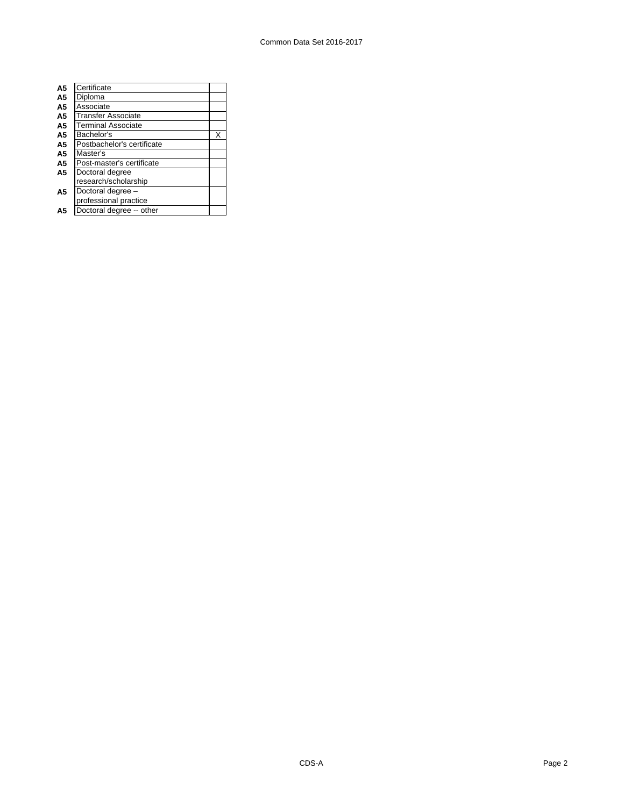| A5             | Certificate                |   |
|----------------|----------------------------|---|
| A <sub>5</sub> | Diploma                    |   |
| A5             | Associate                  |   |
| A <sub>5</sub> | Transfer Associate         |   |
| A <sub>5</sub> | <b>Terminal Associate</b>  |   |
| A <sub>5</sub> | Bachelor's                 | Χ |
| A <sub>5</sub> | Postbachelor's certificate |   |
| A5             | Master's                   |   |
| A <sub>5</sub> | Post-master's certificate  |   |
| A <sub>5</sub> | Doctoral degree            |   |
|                | research/scholarship       |   |
| A <sub>5</sub> | Doctoral degree -          |   |
|                | professional practice      |   |
| А5             | Doctoral degree -- other   |   |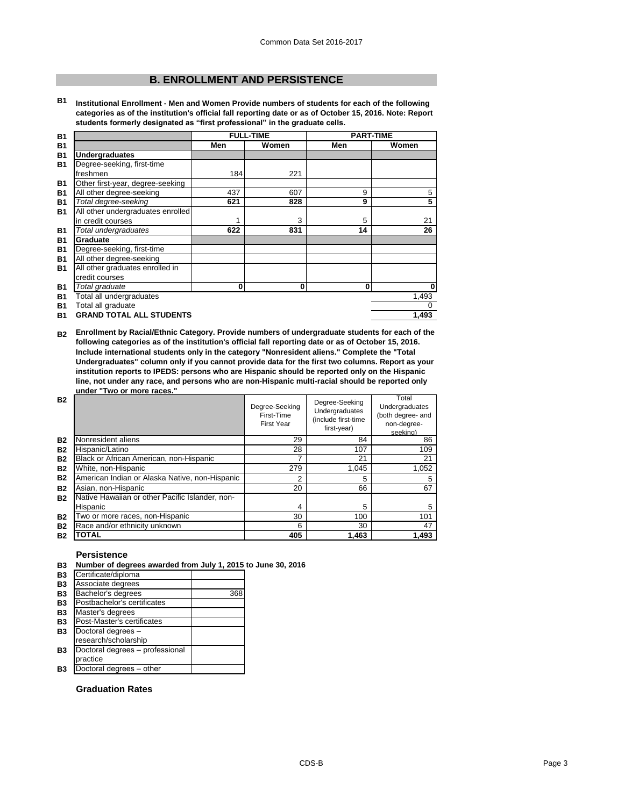# **B. ENROLLMENT AND PERSISTENCE**

**B1 Institutional Enrollment - Men and Women Provide numbers of students for each of the following categories as of the institution's official fall reporting date or as of October 15, 2016. Note: Report students formerly designated as "first professional" in the graduate cells.**

| <b>B1</b> |                                   |     | <b>FULL-TIME</b> |     | <b>PART-TIME</b> |  |
|-----------|-----------------------------------|-----|------------------|-----|------------------|--|
| <b>B1</b> |                                   | Men | Women            | Men | Women            |  |
| <b>B1</b> | <b>Undergraduates</b>             |     |                  |     |                  |  |
| <b>B1</b> | Degree-seeking, first-time        |     |                  |     |                  |  |
|           | freshmen                          | 184 | 221              |     |                  |  |
| <b>B1</b> | Other first-year, degree-seeking  |     |                  |     |                  |  |
| <b>B1</b> | All other degree-seeking          | 437 | 607              | 9   | 5                |  |
| <b>B1</b> | Total degree-seeking              | 621 | 828              | 9   | 5                |  |
| <b>B1</b> | All other undergraduates enrolled |     |                  |     |                  |  |
|           | in credit courses                 |     | 3                | 5   | 21               |  |
| <b>B1</b> | Total undergraduates              | 622 | 831              | 14  | 26               |  |
| <b>B1</b> | Graduate                          |     |                  |     |                  |  |
| <b>B1</b> | Degree-seeking, first-time        |     |                  |     |                  |  |
| <b>B1</b> | All other degree-seeking          |     |                  |     |                  |  |
| <b>B1</b> | All other graduates enrolled in   |     |                  |     |                  |  |
|           | credit courses                    |     |                  |     |                  |  |
| <b>B1</b> | Total graduate                    | 0   | $\bf{0}$         | 0   | 0                |  |
| <b>B1</b> | Total all undergraduates          |     |                  |     | 1,493            |  |
| <b>B1</b> | Total all graduate                |     |                  |     | $\Omega$         |  |
| <b>B1</b> | <b>GRAND TOTAL ALL STUDENTS</b>   |     |                  |     | 1,493            |  |

**B2 Enrollment by Racial/Ethnic Category. Provide numbers of undergraduate students for each of the following categories as of the institution's official fall reporting date or as of October 15, 2016. Include international students only in the category "Nonresident aliens." Complete the "Total Undergraduates" column only if you cannot provide data for the first two columns. Report as your institution reports to IPEDS: persons who are Hispanic should be reported only on the Hispanic line, not under any race, and persons who are non-Hispanic multi-racial should be reported only under "Two or more races."** 

| <b>B2</b> |                                                 | Degree-Seeking<br>First-Time<br><b>First Year</b> | Degree-Seeking<br>Undergraduates<br>(include first-time<br>first-year) | Total<br>Undergraduates<br>(both degree- and<br>non-degree-<br>seeking) |
|-----------|-------------------------------------------------|---------------------------------------------------|------------------------------------------------------------------------|-------------------------------------------------------------------------|
| <b>B2</b> | Nonresident aliens                              | 29                                                | 84                                                                     | 86                                                                      |
| <b>B2</b> | Hispanic/Latino                                 | 28                                                | 107                                                                    | 109                                                                     |
| <b>B2</b> | Black or African American, non-Hispanic         |                                                   | 21                                                                     | 21                                                                      |
| <b>B2</b> | White, non-Hispanic                             | 279                                               | 1.045                                                                  | 1,052                                                                   |
| <b>B2</b> | American Indian or Alaska Native, non-Hispanic  | 2                                                 | 5                                                                      | 5                                                                       |
| <b>B2</b> | Asian, non-Hispanic                             | 20                                                | 66                                                                     | 67                                                                      |
| <b>B2</b> | Native Hawaiian or other Pacific Islander, non- |                                                   |                                                                        |                                                                         |
|           | Hispanic                                        | 4                                                 | 5                                                                      | 5                                                                       |
| <b>B2</b> | Two or more races, non-Hispanic                 | 30                                                | 100                                                                    | 101                                                                     |
| <b>B2</b> | Race and/or ethnicity unknown                   | 6                                                 | 30                                                                     | 47                                                                      |
| <b>B2</b> | TOTAL                                           | 405                                               | 1.463                                                                  | 1,493                                                                   |

### **Persistence**

**B3 Number of degrees awarded from July 1, 2015 to June 30, 2016**

- **B3** Certificate/diploma
- **B3** Associate degrees<br>**B3** Bachelor's degrees **Bachelor's degrees** 268
- **B3** Postbachelor's certificates
- **B3** Master's degrees
- **B3** Post-Master's certificates<br>**B3** Doctoral degrees –
- **B3** Doctoral degrees –
- research/scholarship **B3** Doctoral degrees – professional
- practice

# **B3** Doctoral degrees – other

### **Graduation Rates**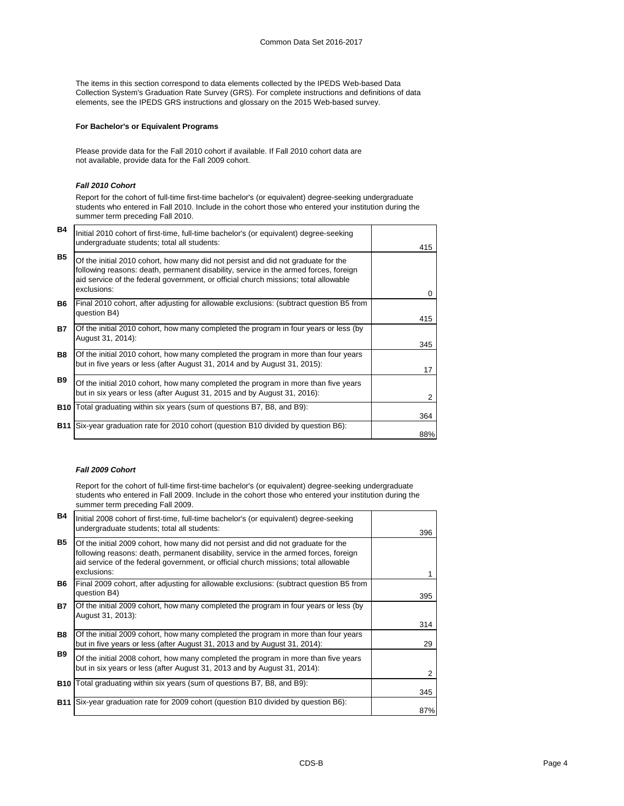The items in this section correspond to data elements collected by the IPEDS Web-based Data Collection System's Graduation Rate Survey (GRS). For complete instructions and definitions of data elements, see the IPEDS GRS instructions and glossary on the 2015 Web-based survey.

#### **For Bachelor's or Equivalent Programs**

Please provide data for the Fall 2010 cohort if available. If Fall 2010 cohort data are not available, provide data for the Fall 2009 cohort.

### *Fall 2010 Cohort*

Report for the cohort of full-time first-time bachelor's (or equivalent) degree-seeking undergraduate students who entered in Fall 2010. Include in the cohort those who entered your institution during the summer term preceding Fall 2010.

| <b>B4</b>  | Initial 2010 cohort of first-time, full-time bachelor's (or equivalent) degree-seeking<br>undergraduate students; total all students:                                                                                                                                           | 415 |
|------------|---------------------------------------------------------------------------------------------------------------------------------------------------------------------------------------------------------------------------------------------------------------------------------|-----|
| <b>B5</b>  | Of the initial 2010 cohort, how many did not persist and did not graduate for the<br>following reasons: death, permanent disability, service in the armed forces, foreign<br>aid service of the federal government, or official church missions; total allowable<br>exclusions: | 0   |
| <b>B6</b>  | Final 2010 cohort, after adjusting for allowable exclusions: (subtract question B5 from<br>question B4)                                                                                                                                                                         | 415 |
| <b>B7</b>  | Of the initial 2010 cohort, how many completed the program in four years or less (by<br>August 31, 2014):                                                                                                                                                                       | 345 |
| <b>B8</b>  | Of the initial 2010 cohort, how many completed the program in more than four years<br>but in five years or less (after August 31, 2014 and by August 31, 2015):                                                                                                                 | 17  |
| <b>B</b> 9 | Of the initial 2010 cohort, how many completed the program in more than five years<br>but in six years or less (after August 31, 2015 and by August 31, 2016):                                                                                                                  | 2   |
|            | <b>B10</b> Total graduating within six years (sum of questions B7, B8, and B9):                                                                                                                                                                                                 | 364 |
| <b>B11</b> | Six-year graduation rate for 2010 cohort (question B10 divided by question B6):                                                                                                                                                                                                 | 88% |

### *Fall 2009 Cohort*

Report for the cohort of full-time first-time bachelor's (or equivalent) degree-seeking undergraduate students who entered in Fall 2009. Include in the cohort those who entered your institution during the summer term preceding Fall 2009.

| <b>B4</b>  | Initial 2008 cohort of first-time, full-time bachelor's (or equivalent) degree-seeking                                                                                                                                                                                          |     |
|------------|---------------------------------------------------------------------------------------------------------------------------------------------------------------------------------------------------------------------------------------------------------------------------------|-----|
|            | undergraduate students; total all students:                                                                                                                                                                                                                                     | 396 |
| <b>B5</b>  | Of the initial 2009 cohort, how many did not persist and did not graduate for the<br>following reasons: death, permanent disability, service in the armed forces, foreign<br>aid service of the federal government, or official church missions; total allowable<br>exclusions: |     |
| <b>B6</b>  | Final 2009 cohort, after adjusting for allowable exclusions: (subtract question B5 from                                                                                                                                                                                         |     |
|            | question B4)                                                                                                                                                                                                                                                                    |     |
|            |                                                                                                                                                                                                                                                                                 | 395 |
| <b>B7</b>  | Of the initial 2009 cohort, how many completed the program in four years or less (by<br>August 31, 2013):                                                                                                                                                                       |     |
|            |                                                                                                                                                                                                                                                                                 | 314 |
| <b>B8</b>  | Of the initial 2009 cohort, how many completed the program in more than four years<br>but in five years or less (after August 31, 2013 and by August 31, 2014):                                                                                                                 | 29  |
| <b>B9</b>  | Of the initial 2008 cohort, how many completed the program in more than five years<br>but in six years or less (after August 31, 2013 and by August 31, 2014):                                                                                                                  |     |
|            |                                                                                                                                                                                                                                                                                 | 2   |
|            | <b>B10</b> Total graduating within six years (sum of questions B7, B8, and B9):                                                                                                                                                                                                 |     |
|            |                                                                                                                                                                                                                                                                                 | 345 |
| <b>B11</b> | Six-year graduation rate for 2009 cohort (question B10 divided by question B6):                                                                                                                                                                                                 |     |
|            |                                                                                                                                                                                                                                                                                 | 87% |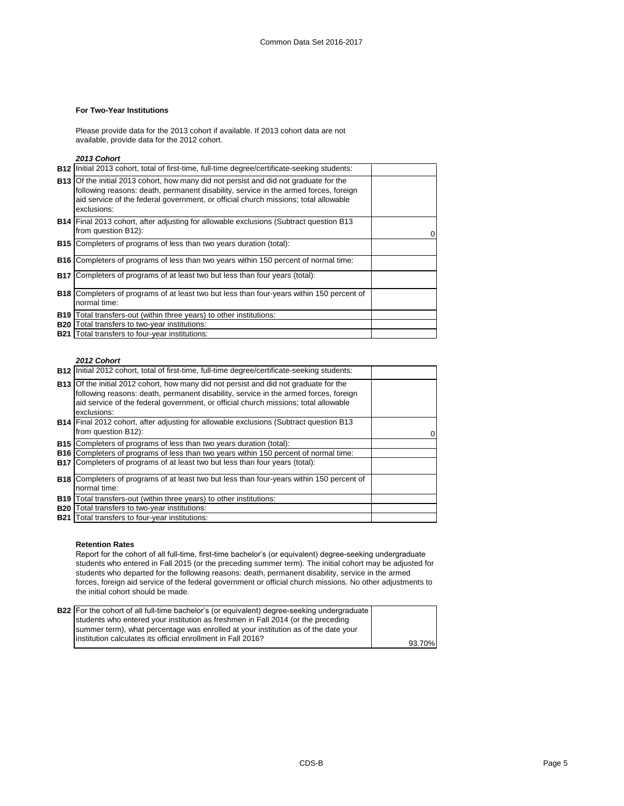### **For Two-Year Institutions**

Please provide data for the 2013 cohort if available. If 2013 cohort data are not available, provide data for the 2012 cohort.

### *2013 Cohort*

|            | <b>B12</b> Initial 2013 cohort, total of first-time, full-time degree/certificate-seeking students:                                                                                                                                                                                        |  |
|------------|--------------------------------------------------------------------------------------------------------------------------------------------------------------------------------------------------------------------------------------------------------------------------------------------|--|
|            | <b>B13</b> Of the initial 2013 cohort, how many did not persist and did not graduate for the<br>following reasons: death, permanent disability, service in the armed forces, foreign<br>aid service of the federal government, or official church missions; total allowable<br>exclusions: |  |
|            | <b>B14</b> Final 2013 cohort, after adjusting for allowable exclusions (Subtract question B13<br>from question B12):                                                                                                                                                                       |  |
|            | <b>B15</b> Completers of programs of less than two years duration (total):                                                                                                                                                                                                                 |  |
|            | <b>B16</b> Completers of programs of less than two years within 150 percent of normal time:                                                                                                                                                                                                |  |
| <b>B17</b> | Completers of programs of at least two but less than four years (total):                                                                                                                                                                                                                   |  |
|            | <b>B18</b> Completers of programs of at least two but less than four-years within 150 percent of<br>normal time:                                                                                                                                                                           |  |
|            | <b>B19</b> Total transfers-out (within three years) to other institutions:                                                                                                                                                                                                                 |  |
| <b>B20</b> | Total transfers to two-year institutions:                                                                                                                                                                                                                                                  |  |
|            | <b>B21</b> Total transfers to four-year institutions:                                                                                                                                                                                                                                      |  |

### *2012 Cohort*

| <b>B12</b> Initial 2012 cohort, total of first-time, full-time degree/certificate-seeking students:                                                                                                                                                                                        |  |
|--------------------------------------------------------------------------------------------------------------------------------------------------------------------------------------------------------------------------------------------------------------------------------------------|--|
| <b>B13</b> Of the initial 2012 cohort, how many did not persist and did not graduate for the<br>following reasons: death, permanent disability, service in the armed forces, foreign<br>aid service of the federal government, or official church missions; total allowable<br>exclusions: |  |
| <b>B14</b> Final 2012 cohort, after adjusting for allowable exclusions (Subtract question B13<br>from question B12):                                                                                                                                                                       |  |
| <b>B15</b> Completers of programs of less than two years duration (total):                                                                                                                                                                                                                 |  |
| <b>B16</b> Completers of programs of less than two years within 150 percent of normal time:                                                                                                                                                                                                |  |
| <b>B17</b> Completers of programs of at least two but less than four years (total):                                                                                                                                                                                                        |  |
| <b>B18</b> Completers of programs of at least two but less than four-years within 150 percent of                                                                                                                                                                                           |  |
| normal time:                                                                                                                                                                                                                                                                               |  |
| <b>B19</b> Total transfers-out (within three years) to other institutions:                                                                                                                                                                                                                 |  |
| <b>B20</b> Total transfers to two-year institutions:                                                                                                                                                                                                                                       |  |
| <b>B21</b> Total transfers to four-year institutions:                                                                                                                                                                                                                                      |  |

### **Retention Rates**

Report for the cohort of all full-time, first-time bachelor's (or equivalent) degree-seeking undergraduate students who entered in Fall 2015 (or the preceding summer term). The initial cohort may be adjusted for students who departed for the following reasons: death, permanent disability, service in the armed forces, foreign aid service of the federal government or official church missions. No other adjustments to the initial cohort should be made.

| <b>B22</b> For the cohort of all full-time bachelor's (or equivalent) degree-seeking undergraduate |        |
|----------------------------------------------------------------------------------------------------|--------|
| students who entered your institution as freshmen in Fall 2014 (or the preceding                   |        |
| summer term), what percentage was enrolled at your institution as of the date your                 |        |
| linstitution calculates its official enrollment in Fall 2016?                                      | 93.70% |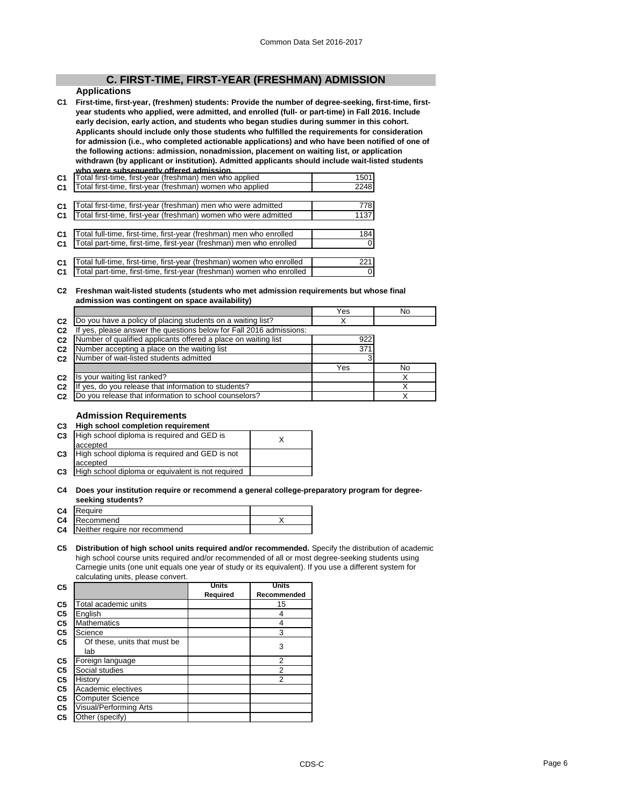# **C. FIRST-TIME, FIRST-YEAR (FRESHMAN) ADMISSION**

### **Applications**

**C1 First-time, first-year, (freshmen) students: Provide the number of degree-seeking, first-time, firstyear students who applied, were admitted, and enrolled (full- or part-time) in Fall 2016. Include early decision, early action, and students who began studies during summer in this cohort. Applicants should include only those students who fulfilled the requirements for consideration for admission (i.e., who completed actionable applications) and who have been notified of one of the following actions: admission, nonadmission, placement on waiting list, or application withdrawn (by applicant or institution). Admitted applicants should include wait-listed students who were subsequently offered admission.**

| C <sub>1</sub> | Total first-time, first-year (freshman) men who applied               | 1501     |
|----------------|-----------------------------------------------------------------------|----------|
| C <sub>1</sub> | Total first-time, first-year (freshman) women who applied             | 2248     |
|                |                                                                       |          |
| C <sub>1</sub> | Total first-time, first-year (freshman) men who were admitted         | 778      |
| C <sub>1</sub> | Total first-time, first-year (freshman) women who were admitted       | 1137     |
|                |                                                                       |          |
| C <sub>1</sub> | Total full-time, first-time, first-year (freshman) men who enrolled   | 184      |
| C <sub>1</sub> | Total part-time, first-time, first-year (freshman) men who enrolled   | $\Omega$ |
|                |                                                                       |          |
| C <sub>1</sub> | Total full-time, first-time, first-year (freshman) women who enrolled | 221      |
| C <sub>1</sub> | Total part-time, first-time, first-year (freshman) women who enrolled | 0        |

#### **C2 Freshman wait-listed students (students who met admission requirements but whose final admission was contingent on space availability)**

|                |                                                                     | Yes | No |
|----------------|---------------------------------------------------------------------|-----|----|
| C <sub>2</sub> | Do you have a policy of placing students on a waiting list?         |     |    |
| C <sub>2</sub> | If yes, please answer the questions below for Fall 2016 admissions: |     |    |
| C <sub>2</sub> | Number of qualified applicants offered a place on waiting list      | 922 |    |
| C <sub>2</sub> | Number accepting a place on the waiting list                        | 371 |    |
| C <sub>2</sub> | Number of wait-listed students admitted                             |     |    |
|                |                                                                     | Yes | No |
| C <sub>2</sub> | Is your waiting list ranked?                                        |     |    |
| C <sub>2</sub> | If yes, do you release that information to students?                |     |    |
| C <sub>2</sub> | Do you release that information to school counselors?               |     |    |
|                |                                                                     |     |    |

### **Admission Requirements**

#### **C3 High school completion requirement**

| C <sub>3</sub> | High school diploma is required and GED is        |  |
|----------------|---------------------------------------------------|--|
|                | accepted                                          |  |
| C <sub>3</sub> | High school diploma is required and GED is not    |  |
|                | accepted                                          |  |
| C <sub>3</sub> | High school diploma or equivalent is not required |  |
|                |                                                   |  |

#### **C4 Does your institution require or recommend a general college-preparatory program for degreeseeking students?**

| C4 | Require                                 |  |
|----|-----------------------------------------|--|
|    | <b>C4</b> Recommend                     |  |
|    | <b>C4</b> Neither require nor recommend |  |
|    |                                         |  |

#### **C5 Distribution of high school units required and/or recommended.** Specify the distribution of academic high school course units required and/or recommended of all or most degree-seeking students using Carnegie units (one unit equals one year of study or its equivalent). If you use a different system for calculating units, please convert.

| C <sub>5</sub> |                              | <b>Units</b> | <b>Units</b>   |
|----------------|------------------------------|--------------|----------------|
|                |                              | Required     | Recommended    |
| C <sub>5</sub> | Total academic units         |              | 15             |
| C <sub>5</sub> | English                      |              | 4              |
| C <sub>5</sub> | <b>Mathematics</b>           |              | 4              |
| C <sub>5</sub> | Science                      |              | 3              |
| C5             | Of these, units that must be |              | 3              |
|                | lab                          |              |                |
| C <sub>5</sub> | Foreign language             |              | 2              |
| C <sub>5</sub> | Social studies               |              | $\overline{2}$ |
| C <sub>5</sub> | History                      |              | 2              |
| C <sub>5</sub> | Academic electives           |              |                |
| C <sub>5</sub> | <b>Computer Science</b>      |              |                |
| C <sub>5</sub> | Visual/Performing Arts       |              |                |
| C <sub>5</sub> | Other (specify)              |              |                |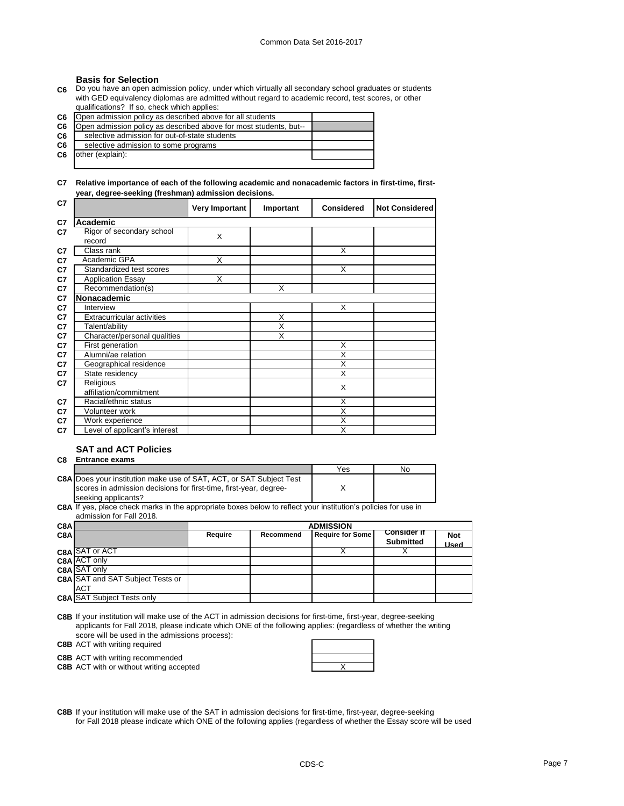### **Basis for Selection**

**C6** Do you have an open admission policy, under which virtually all secondary school graduates or students with GED equivalency diplomas are admitted without regard to academic record, test scores, or other qualifications? If so, check which applies:

| C <sub>6</sub> | Open admission policy as described above for all students         |  |
|----------------|-------------------------------------------------------------------|--|
| C <sub>6</sub> | Open admission policy as described above for most students, but-- |  |
| C6             | selective admission for out-of-state students                     |  |
| C6             | selective admission to some programs                              |  |
| C <sub>6</sub> | other (explain):                                                  |  |
|                |                                                                   |  |

**C7 Relative importance of each of the following academic and nonacademic factors in first-time, firstyear, degree-seeking (freshman) admission decisions.**

| C7 |                                     | Very Important | Important | <b>Considered</b> | <b>Not Considered</b> |
|----|-------------------------------------|----------------|-----------|-------------------|-----------------------|
| C7 | Academic                            |                |           |                   |                       |
| C7 | Rigor of secondary school<br>record | X              |           |                   |                       |
| C7 | Class rank                          |                |           | X                 |                       |
| C7 | Academic GPA                        | X              |           |                   |                       |
| C7 | Standardized test scores            |                |           | X                 |                       |
| C7 | <b>Application Essay</b>            | X              |           |                   |                       |
| C7 | Recommendation(s)                   |                | X         |                   |                       |
| C7 | Nonacademic                         |                |           |                   |                       |
| C7 | Interview                           |                |           | X                 |                       |
| C7 | <b>Extracurricular activities</b>   |                | X         |                   |                       |
| C7 | Talent/ability                      |                | X         |                   |                       |
| C7 | Character/personal qualities        |                | X         |                   |                       |
| C7 | First generation                    |                |           | X                 |                       |
| C7 | Alumni/ae relation                  |                |           | X                 |                       |
| C7 | Geographical residence              |                |           | X                 |                       |
| C7 | State residency                     |                |           | X                 |                       |
| C7 | Religious                           |                |           | X                 |                       |
|    | affiliation/commitment              |                |           |                   |                       |
| C7 | Racial/ethnic status                |                |           | X                 |                       |
| C7 | Volunteer work                      |                |           | X                 |                       |
| C7 | Work experience                     |                |           | X                 |                       |
| C7 | Level of applicant's interest       |                |           | X                 |                       |

# **SAT and ACT Policies**

# **C8 Entrance exams**

|                                                                            | Yes | Nο |
|----------------------------------------------------------------------------|-----|----|
| <b>C8AIDoes your institution make use of SAT, ACT, or SAT Subject Test</b> |     |    |
| scores in admission decisions for first-time, first-year, degree-          |     |    |
| seeking applicants?                                                        |     |    |

**C8A** If yes, place check marks in the appropriate boxes below to reflect your institution's policies for use in admission for Fall 2018.

| C8A |                                         |         | <b>ADMISSION</b> |                         |                                        |                    |  |
|-----|-----------------------------------------|---------|------------------|-------------------------|----------------------------------------|--------------------|--|
| C8A |                                         | Require | Recommend        | <b>Require for Some</b> | <b>Consider if</b><br><b>Submitted</b> | <b>Not</b><br>Used |  |
|     | C8A SAT or ACT                          |         |                  |                         |                                        |                    |  |
|     | C8A ACT only                            |         |                  |                         |                                        |                    |  |
|     | C8A SAT only                            |         |                  |                         |                                        |                    |  |
|     | <b>C8A</b> SAT and SAT Subject Tests or |         |                  |                         |                                        |                    |  |
|     | <b>ACT</b>                              |         |                  |                         |                                        |                    |  |
|     | <b>C8A SAT Subject Tests only</b>       |         |                  |                         |                                        |                    |  |

**C8B** If your institution will make use of the ACT in admission decisions for first-time, first-year, degree-seeking applicants for Fall 2018, please indicate which ONE of the following applies: (regardless of whether the writing score will be used in the admissions process):

**C8B** ACT with writing required

**C8B** ACT with writing recommended

**C8B** ACT with or without writing accepted  $\overline{X}$ 



**C8B** If your institution will make use of the SAT in admission decisions for first-time, first-year, degree-seeking for Fall 2018 please indicate which ONE of the following applies (regardless of whether the Essay score will be used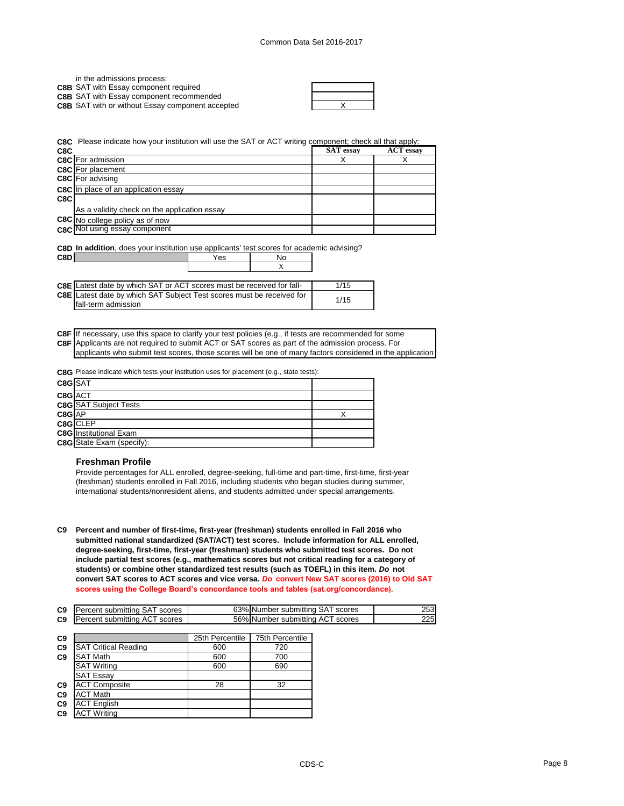#### in the admissions process:

- **C8B** SAT with Essay component required
- **C8B** SAT with Essay component recommended
- **C8B** SAT with or without Essay component accepted  $\times$

**C8C** Please indicate how your institution will use the SAT or ACT writing component; check all that apply: **C8C SAT essay ACT essay ACT** essay **C8C** X X For admission **C8C** For placement **C8C** For advising **C8C** In place of an application essay **C8C C8C C8C** Not using essay component As a validity check on the application essay No college policy as of now

**C8D In addition**, does your institution use applicants' test scores for academic advising?

| C8D                                                                                                  | Yes  | No |      |
|------------------------------------------------------------------------------------------------------|------|----|------|
|                                                                                                      |      |    |      |
|                                                                                                      |      |    |      |
| <b>C8E</b> Latest date by which SAT or ACT scores must be received for fall-                         | 1/15 |    |      |
| <b>C8E</b> Latest date by which SAT Subject Test scores must be received for<br>Ifall-term admission |      |    | 1/15 |

**C8F** If necessary, use this space to clarify your test policies (e.g., if tests are recommended for some **C8F** Applicants are not required to submit ACT or SAT scores as part of the admission process. For applicants who submit test scores, those scores will be one of many factors considered in the application

|         | <b>C8G</b> Please indicate which tests your institution uses for placement (e.g., state tests): |  |  |  |  |
|---------|-------------------------------------------------------------------------------------------------|--|--|--|--|
| C8G SAT |                                                                                                 |  |  |  |  |
| C8G ACT |                                                                                                 |  |  |  |  |
|         | <b>C8G</b> SAT Subject Tests                                                                    |  |  |  |  |
| C8G AP  |                                                                                                 |  |  |  |  |
|         | C8G CLEP                                                                                        |  |  |  |  |
|         | <b>C8G</b> Institutional Exam                                                                   |  |  |  |  |
|         | <b>C8G</b> State Exam (specify):                                                                |  |  |  |  |

#### **Freshman Profile**

Provide percentages for ALL enrolled, degree-seeking, full-time and part-time, first-time, first-year (freshman) students enrolled in Fall 2016, including students who began studies during summer, international students/nonresident aliens, and students admitted under special arrangements.

**C9 Percent and number of first-time, first-year (freshman) students enrolled in Fall 2016 who submitted national standardized (SAT/ACT) test scores. Include information for ALL enrolled, degree-seeking, first-time, first-year (freshman) students who submitted test scores. Do not include partial test scores (e.g., mathematics scores but not critical reading for a category of students) or combine other standardized test results (such as TOEFL) in this item.** *Do* **not convert SAT scores to ACT scores and vice versa.** *Do* **convert New SAT scores (2016) to Old SAT scores using the College Board's concordance tools and tables (sat.org/concordance).**

| C <sub>9</sub> | I Percent submitting SAT scores      | 63% Number submitting SAT scores | 2531 |
|----------------|--------------------------------------|----------------------------------|------|
| C9             | <b>Percent submitting ACT scores</b> | 56% Number submitting ACT scores | 225I |

| C <sub>9</sub> |                             | 25th Percentile | 75th Percentile |
|----------------|-----------------------------|-----------------|-----------------|
| C <sub>9</sub> | <b>SAT Critical Reading</b> | 600             | 720             |
| C <sub>9</sub> | <b>SAT Math</b>             | 600             | 700             |
|                | <b>SAT Writing</b>          | 600             | 690             |
|                | <b>SAT Essay</b>            |                 |                 |
| C <sub>9</sub> | <b>ACT Composite</b>        | 28              | 32              |
| C <sub>9</sub> | <b>ACT Math</b>             |                 |                 |
| C <sub>9</sub> | <b>ACT English</b>          |                 |                 |
| C <sub>9</sub> | <b>ACT Writing</b>          |                 |                 |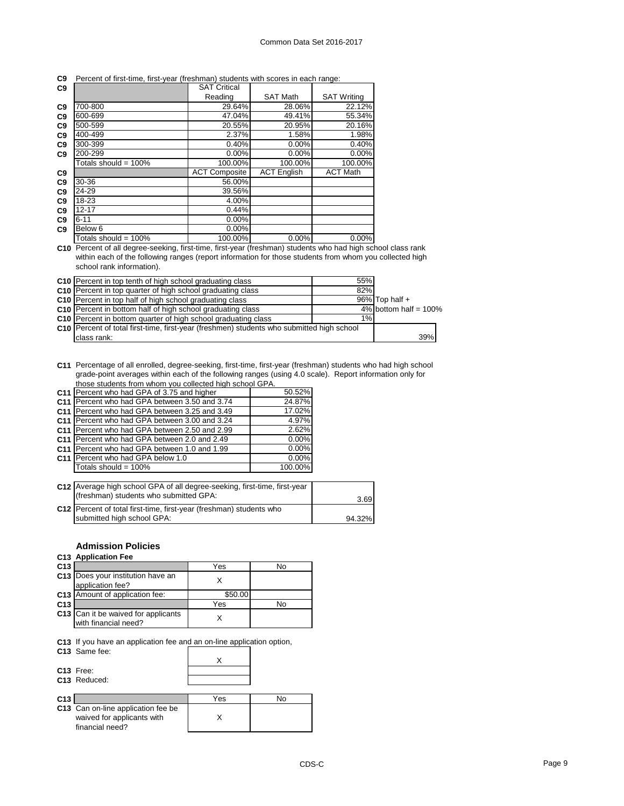|  |  |  |  |  | C9 Percent of first-time, first-year (freshman) students with scores in each range: |
|--|--|--|--|--|-------------------------------------------------------------------------------------|
|--|--|--|--|--|-------------------------------------------------------------------------------------|

| C <sub>9</sub> |                         | <b>SAT Critical</b>  |                    |                    |
|----------------|-------------------------|----------------------|--------------------|--------------------|
|                |                         | Reading              | <b>SAT Math</b>    | <b>SAT Writing</b> |
| C <sub>9</sub> | 700-800                 | 29.64%               | 28.06%             | 22.12%             |
| C <sub>9</sub> | 600-699                 | 47.04%               | 49.41%             | 55.34%             |
| C <sub>9</sub> | 500-599                 | 20.55%               | 20.95%             | 20.16%             |
| C9             | 400-499                 | 2.37%                | 1.58%              | 1.98%              |
| C <sub>9</sub> | 300-399                 | 0.40%                | $0.00\%$           | 0.40%              |
| C <sub>9</sub> | 200-299                 | $0.00\%$             | $0.00\%$           | $0.00\%$           |
|                | Totals should = $100\%$ | 100.00%              | 100.00%            | 100.00%            |
| C <sub>9</sub> |                         | <b>ACT Composite</b> | <b>ACT English</b> | <b>ACT Math</b>    |
| C9             | 30-36                   | 56.00%               |                    |                    |
| C <sub>9</sub> | 24-29                   | 39.56%               |                    |                    |
| C <sub>9</sub> | 18-23                   | 4.00%                |                    |                    |
| C <sub>9</sub> | $12 - 17$               | 0.44%                |                    |                    |
| C9             | $6 - 11$                | $0.00\%$             |                    |                    |
| C <sub>9</sub> | Below <sub>6</sub>      | $0.00\%$             |                    |                    |
|                | Totals should = $100\%$ | 100.00%              | 0.00%              | 0.00%              |

**C10** Percent of all degree-seeking, first-time, first-year (freshman) students who had high school class rank within each of the following ranges (report information for those students from whom you collected high school rank information).

| <b>C10</b> Percent in top tenth of high school graduating class                           | 55% |                          |  |
|-------------------------------------------------------------------------------------------|-----|--------------------------|--|
| C10 Percent in top quarter of high school graduating class                                | 82% |                          |  |
| C10 Percent in top half of high school graduating class                                   |     | $96\%$ Top half +        |  |
| C10 Percent in bottom half of high school graduating class                                |     | 4% bottom half = $100\%$ |  |
| C10 Percent in bottom quarter of high school graduating class                             | 1%  |                          |  |
| C10 Percent of total first-time, first-year (freshmen) students who submitted high school |     |                          |  |
| class rank:                                                                               |     | 39%                      |  |

**C11** Percentage of all enrolled, degree-seeking, first-time, first-year (freshman) students who had high school grade-point averages within each of the following ranges (using 4.0 scale). Report information only for those students from whom you collected high school GPA.

|                 | C11 Percent who had GPA of 3.75 and higher    | 50.52%  |
|-----------------|-----------------------------------------------|---------|
| C <sub>11</sub> | Percent who had GPA between 3.50 and 3.74     | 24.87%  |
|                 | C11 Percent who had GPA between 3.25 and 3.49 | 17.02%  |
|                 | C11 Percent who had GPA between 3.00 and 3.24 | 4.97%   |
|                 | C11 Percent who had GPA between 2.50 and 2.99 | 2.62%   |
|                 | C11 Percent who had GPA between 2.0 and 2.49  | 0.00%   |
|                 | C11 Percent who had GPA between 1.0 and 1.99  | 0.00%   |
|                 | C11 Percent who had GPA below 1.0             | 0.00%   |
|                 | Totals should = $100\%$                       | 100.00% |
|                 |                                               |         |

| C12 Average high school GPA of all degree-seeking, first-time, first-year<br>(freshman) students who submitted GPA: | 3.69   |
|---------------------------------------------------------------------------------------------------------------------|--------|
| C12   Percent of total first-time, first-year (freshman) students who<br>submitted high school GPA:                 | 94.32% |

### **Admission Policies**

### **C13 Application Fee**

financial need?

| C <sub>13</sub> |                                                             | Yes     | No |
|-----------------|-------------------------------------------------------------|---------|----|
|                 | C13 Does your institution have an<br>application fee?       |         |    |
|                 | C13 Amount of application fee:                              | \$50.00 |    |
| C <sub>13</sub> |                                                             | Yes     | N٥ |
|                 | C13 Can it be waived for applicants<br>with financial need? |         |    |

**C13** If you have an application fee and an on-line application option,

|                 | C13 Same fee:                      |     |    |
|-----------------|------------------------------------|-----|----|
|                 | C <sub>13</sub> Free:              |     |    |
|                 | C <sub>13</sub> Reduced:           |     |    |
|                 |                                    |     |    |
| C <sub>13</sub> |                                    | Yes | No |
|                 | C13 Can on-line application fee be |     |    |
|                 | waived for applicants with         |     |    |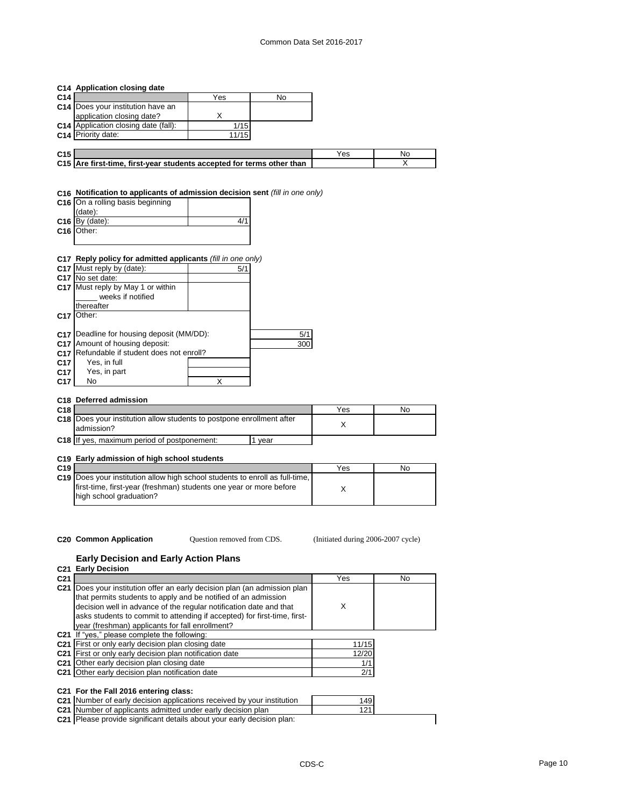# **C14 Application closing date**

|                 | C14 Application closing date                                                 |                            |        |                                    |    |
|-----------------|------------------------------------------------------------------------------|----------------------------|--------|------------------------------------|----|
| C <sub>14</sub> |                                                                              | Yes                        | No     |                                    |    |
|                 | C14 Does your institution have an                                            |                            |        |                                    |    |
|                 | application closing date?                                                    | X                          |        |                                    |    |
|                 |                                                                              |                            |        |                                    |    |
|                 | <b>C14</b> Application closing date (fall):                                  | 1/15                       |        |                                    |    |
|                 | C14 Priority date:                                                           | 11/15                      |        |                                    |    |
|                 |                                                                              |                            |        |                                    |    |
| C <sub>15</sub> |                                                                              |                            |        | Yes                                | No |
|                 | C15 Are first-time, first-year students accepted for terms other than        |                            |        |                                    | X  |
|                 |                                                                              |                            |        |                                    |    |
|                 |                                                                              |                            |        |                                    |    |
|                 |                                                                              |                            |        |                                    |    |
|                 | C16 Notification to applicants of admission decision sent (fill in one only) |                            |        |                                    |    |
|                 | C16 On a rolling basis beginning                                             |                            |        |                                    |    |
|                 |                                                                              |                            |        |                                    |    |
|                 | (date):                                                                      |                            |        |                                    |    |
|                 | $C16$ By (date):                                                             | 4/1                        |        |                                    |    |
|                 | C16 Other:                                                                   |                            |        |                                    |    |
|                 |                                                                              |                            |        |                                    |    |
|                 |                                                                              |                            |        |                                    |    |
|                 |                                                                              |                            |        |                                    |    |
|                 | C17 Reply policy for admitted applicants (fill in one only)                  |                            |        |                                    |    |
|                 | C17 Must reply by (date):                                                    | 5/1                        |        |                                    |    |
|                 | C17 No set date:                                                             |                            |        |                                    |    |
|                 | C17 Must reply by May 1 or within                                            |                            |        |                                    |    |
|                 | weeks if notified                                                            |                            |        |                                    |    |
|                 |                                                                              |                            |        |                                    |    |
|                 | thereafter                                                                   |                            |        |                                    |    |
|                 | C17 Other:                                                                   |                            |        |                                    |    |
|                 |                                                                              |                            |        |                                    |    |
|                 | <b>C17</b> Deadline for housing deposit (MM/DD):                             |                            | 5/1    |                                    |    |
|                 | C17 Amount of housing deposit:                                               |                            | 300    |                                    |    |
|                 | C17 Refundable if student does not enroll?                                   |                            |        |                                    |    |
|                 |                                                                              |                            |        |                                    |    |
| C <sub>17</sub> | Yes, in full                                                                 |                            |        |                                    |    |
| C <sub>17</sub> | Yes, in part                                                                 |                            |        |                                    |    |
| C17             | No                                                                           | Χ                          |        |                                    |    |
|                 |                                                                              |                            |        |                                    |    |
|                 | C18 Deferred admission                                                       |                            |        |                                    |    |
|                 |                                                                              |                            |        |                                    |    |
| C <sub>18</sub> |                                                                              |                            |        | Yes                                | No |
|                 | C18 Does your institution allow students to postpone enrollment after        |                            |        | X                                  |    |
|                 | admission?                                                                   |                            |        |                                    |    |
|                 | C18 If yes, maximum period of postponement:                                  |                            | 1 year |                                    |    |
|                 |                                                                              |                            |        |                                    |    |
|                 |                                                                              |                            |        |                                    |    |
|                 | C19 Early admission of high school students                                  |                            |        |                                    |    |
| C <sub>19</sub> |                                                                              |                            |        | Yes                                | No |
|                 | C19 Does your institution allow high school students to enroll as full-time, |                            |        |                                    |    |
|                 | first-time, first-year (freshman) students one year or more before           |                            |        |                                    |    |
|                 | high school graduation?                                                      |                            |        | X                                  |    |
|                 |                                                                              |                            |        |                                    |    |
|                 |                                                                              |                            |        |                                    |    |
|                 |                                                                              |                            |        |                                    |    |
|                 |                                                                              |                            |        |                                    |    |
|                 |                                                                              |                            |        |                                    |    |
|                 | C <sub>20</sub> Common Application                                           | Question removed from CDS. |        | (Initiated during 2006-2007 cycle) |    |

### **Early Decision and Early Action Plans**

|                 | C21 Early Decision                                                                                                                                                                                                                                                                                                                           |       |    |
|-----------------|----------------------------------------------------------------------------------------------------------------------------------------------------------------------------------------------------------------------------------------------------------------------------------------------------------------------------------------------|-------|----|
| C <sub>21</sub> |                                                                                                                                                                                                                                                                                                                                              | Yes   | No |
| C <sub>21</sub> | Does your institution offer an early decision plan (an admission plan<br>that permits students to apply and be notified of an admission<br>decision well in advance of the regular notification date and that<br>asks students to commit to attending if accepted) for first-time, first-<br>year (freshman) applicants for fall enrollment? | X     |    |
| C <sub>21</sub> | If "yes," please complete the following:                                                                                                                                                                                                                                                                                                     |       |    |
|                 | C21   First or only early decision plan closing date                                                                                                                                                                                                                                                                                         | 11/15 |    |
|                 | C21 First or only early decision plan notification date                                                                                                                                                                                                                                                                                      | 12/20 |    |
|                 | C <sub>21</sub> Other early decision plan closing date                                                                                                                                                                                                                                                                                       | 1/1   |    |
|                 | C21 Other early decision plan notification date                                                                                                                                                                                                                                                                                              | 2/1   |    |
|                 | C21 For the Fall 2016 entering class:                                                                                                                                                                                                                                                                                                        |       |    |
|                 | C21 Number of early decision applications received by your institution                                                                                                                                                                                                                                                                       | 149   |    |
|                 | C <sub>21</sub> Number of applicants admitted under early decision plan                                                                                                                                                                                                                                                                      | 121   |    |

**C21** Please provide significant details about your early decision plan: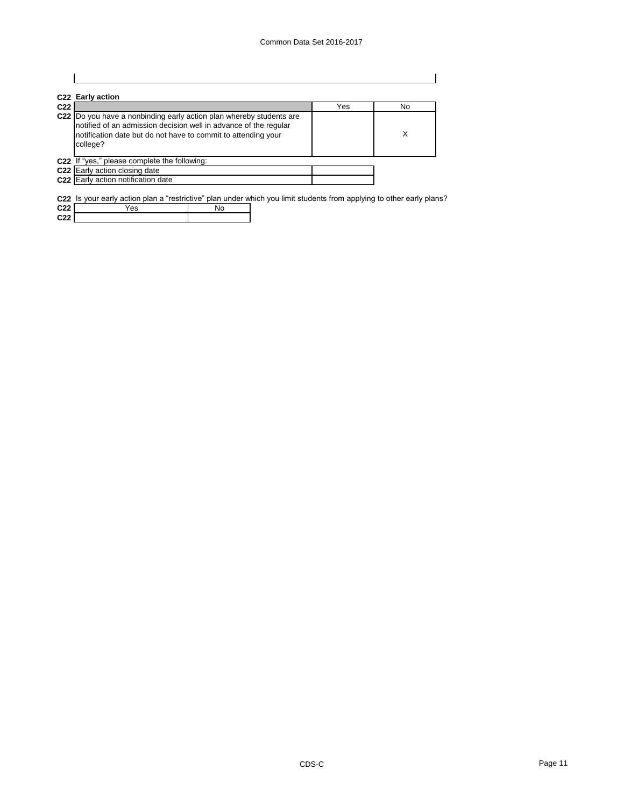| C <sub>22</sub> Early action                                                                                                                                                                                         |     |    |
|----------------------------------------------------------------------------------------------------------------------------------------------------------------------------------------------------------------------|-----|----|
| C <sub>22</sub>                                                                                                                                                                                                      | Yes | No |
| C22 Do you have a nonbinding early action plan whereby students are<br>notified of an admission decision well in advance of the regular<br>notification date but do not have to commit to attending your<br>college? |     | X  |
| C22 If "yes," please complete the following:                                                                                                                                                                         |     |    |
| <b>C22</b> Early action closing date                                                                                                                                                                                 |     |    |
| C22 Early action notification date                                                                                                                                                                                   |     |    |

| C22 | 'es |  |
|-----|-----|--|
| C22 |     |  |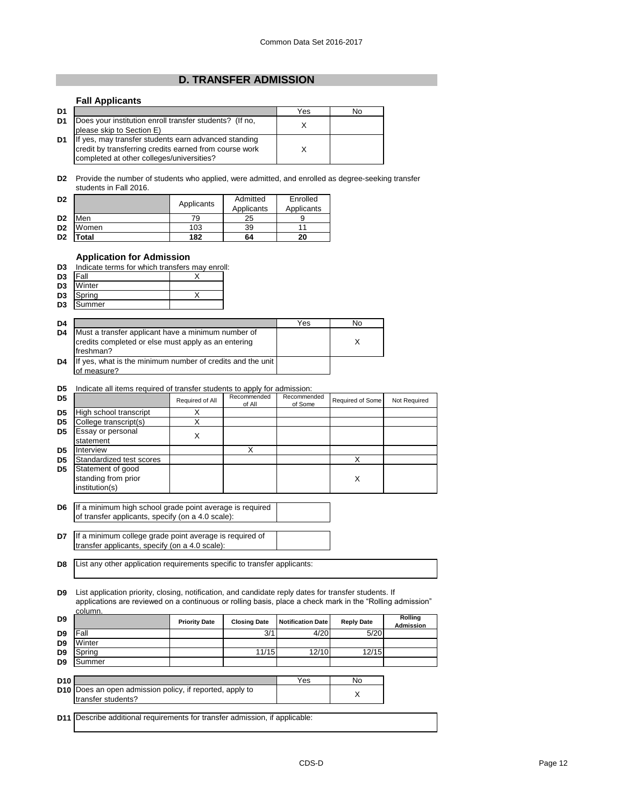# **D. TRANSFER ADMISSION**

# **Fall Applicants**

| D <sub>1</sub> |                                                                                                                                                             | Yes | No |
|----------------|-------------------------------------------------------------------------------------------------------------------------------------------------------------|-----|----|
| D <sub>1</sub> | Does your institution enroll transfer students? (If no,<br>please skip to Section E)                                                                        |     |    |
| D <sub>1</sub> | If yes, may transfer students earn advanced standing<br>credit by transferring credits earned from course work<br>completed at other colleges/universities? |     |    |

**D2** Provide the number of students who applied, were admitted, and enrolled as degree-seeking transfer students in Fall 2016.

| D <sub>2</sub> |       | Applicants | Admitted   | Enrolled   |
|----------------|-------|------------|------------|------------|
|                |       |            | Applicants | Applicants |
| D <sub>2</sub> | Men   | 79         | 25         |            |
| D <sub>2</sub> | Women | 103        | 39         |            |
| D <sub>2</sub> | otal  | 182        | 64         | 20         |

### **Application for Admission**

| D3.            | Indicate terms for which transfers may enroll: |  |  |  |
|----------------|------------------------------------------------|--|--|--|
| D <sub>3</sub> | <b>IFall</b>                                   |  |  |  |
|                | D3 Winter                                      |  |  |  |
| D <sub>2</sub> | <b>Spring</b>                                  |  |  |  |

| ້              | ,,,,,,,,,,, |  |
|----------------|-------------|--|
| D <sub>3</sub> | Summer      |  |
|                |             |  |

| D <sub>4</sub> |                                                                                                                        | Yes | No |
|----------------|------------------------------------------------------------------------------------------------------------------------|-----|----|
| D <sub>4</sub> | Must a transfer applicant have a minimum number of<br>credits completed or else must apply as an entering<br>freshman? |     |    |
| D <sub>4</sub> | If yes, what is the minimum number of credits and the unit<br>of measure?                                              |     |    |

#### **D5** Indicate all items required of transfer students to apply for admission:

| D <sub>5</sub> |                          | Required of All | Recommended<br>of All | Recommended<br>of Some | Required of Some | Not Required |
|----------------|--------------------------|-----------------|-----------------------|------------------------|------------------|--------------|
| D <sub>5</sub> | High school transcript   |                 |                       |                        |                  |              |
| D <sub>5</sub> | College transcript(s)    |                 |                       |                        |                  |              |
| D <sub>5</sub> | Essay or personal        |                 |                       |                        |                  |              |
|                | statement                |                 |                       |                        |                  |              |
| D <sub>5</sub> | Interview                |                 | ⋏                     |                        |                  |              |
| D <sub>5</sub> | Standardized test scores |                 |                       |                        |                  |              |
| D <sub>5</sub> | Statement of good        |                 |                       |                        |                  |              |
|                | standing from prior      |                 |                       |                        | ⋏                |              |
|                | institution(s)           |                 |                       |                        |                  |              |

**D6** If a minimum high school grade point average is required of transfer applicants, specify (on a 4.0 scale):

**D7** If a minimum college grade point average is required of transfer applicants, specify (on a 4.0 scale):

**D8** List any other application requirements specific to transfer applicants:

**D9** List application priority, closing, notification, and candidate reply dates for transfer students. If applications are reviewed on a continuous or rolling basis, place a check mark in the "Rolling admission" column.

| D <sub>9</sub> |        | <b>Priority Date</b> | <b>Closing Date</b> | <b>Notification Date</b> | <b>Reply Date</b> | Rolling<br><b>Admission</b> |
|----------------|--------|----------------------|---------------------|--------------------------|-------------------|-----------------------------|
| D <sub>9</sub> | Fall   |                      | 3/1                 | 4/20                     | 5/20              |                             |
| D <sub>9</sub> | Winter |                      |                     |                          |                   |                             |
| D <sub>9</sub> | Spring |                      | 11/15               | 12/10                    | 12/15             |                             |
| D9             | Summer |                      |                     |                          |                   |                             |
|                |        |                      |                     |                          |                   |                             |

| D <sub>10</sub> |                                                                 | Yes | Nο |  |
|-----------------|-----------------------------------------------------------------|-----|----|--|
|                 | <b>D10</b> Does an open admission policy, if reported, apply to |     |    |  |
|                 | Itransfer students?                                             |     |    |  |

**D11** Describe additional requirements for transfer admission, if applicable: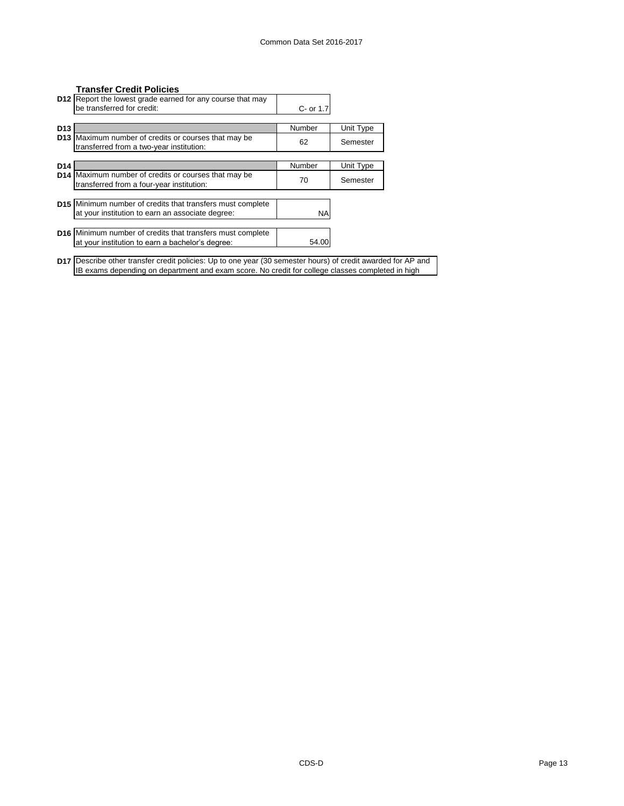### **Transfer Credit Policies**

|                 | D12 Report the lowest grade earned for any course that may                                                  |           |           |
|-----------------|-------------------------------------------------------------------------------------------------------------|-----------|-----------|
|                 | be transferred for credit:                                                                                  | C- or 1.7 |           |
|                 |                                                                                                             |           |           |
| D <sub>13</sub> |                                                                                                             | Number    | Unit Type |
|                 | <b>D13</b> Maximum number of credits or courses that may be<br>transferred from a two-year institution:     | 62        | Semester  |
|                 |                                                                                                             |           |           |
| D <sub>14</sub> |                                                                                                             | Number    | Unit Type |
|                 | <b>D14</b> Maximum number of credits or courses that may be                                                 | 70        | Semester  |
|                 | transferred from a four-year institution:                                                                   |           |           |
|                 |                                                                                                             |           |           |
|                 | <b>D15</b> Minimum number of credits that transfers must complete                                           |           |           |
|                 | at your institution to earn an associate degree:                                                            | NA        |           |
|                 |                                                                                                             |           |           |
|                 | D16 Minimum number of credits that transfers must complete                                                  |           |           |
|                 | at your institution to earn a bachelor's degree:                                                            | 54.00     |           |
|                 |                                                                                                             |           |           |
|                 | <b>D47</b> Deparition other transfer are dit policies: Un to ano year (20 compater bours) of aredit quarded |           |           |

**D17** Describe other transfer credit policies: Up to one year (30 semester hours) of credit awarded for AP and IB exams depending on department and exam score. No credit for college classes completed in high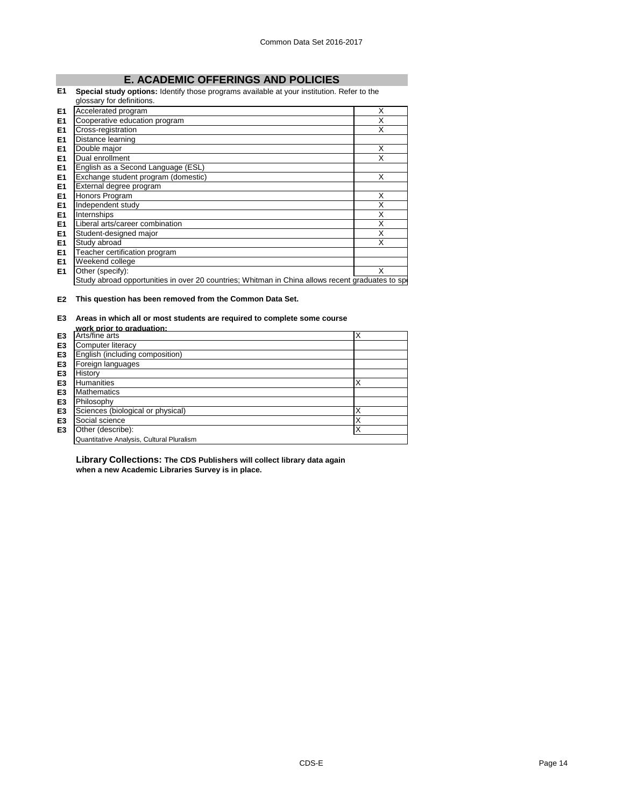# **E. ACADEMIC OFFERINGS AND POLICIES**

# **E1 Special study options:** Identify those programs available at your institution. Refer to the

| glossary for definitions.<br>E1 Accelerated program<br>E1 Cooperative education program<br>E1 Cross-registration<br>E1 Dual enrolment<br>E1 Dual enrolment<br>E1 English as a Second Language (ESL)<br>E1 Exchange student program (domestic |  |  |  |
|----------------------------------------------------------------------------------------------------------------------------------------------------------------------------------------------------------------------------------------------|--|--|--|
|                                                                                                                                                                                                                                              |  |  |  |
| Study abroad opportunities in over 20 countries; Whitman in China allows recent graduates to sp                                                                                                                                              |  |  |  |

### **E2 This question has been removed from the Common Data Set.**

# **E3 Areas in which all or most students are required to complete some course**

|                | work prior to graduation:                 |   |
|----------------|-------------------------------------------|---|
| E3             | Arts/fine arts                            | Χ |
| E <sub>3</sub> | Computer literacy                         |   |
| E <sub>3</sub> | English (including composition)           |   |
| E <sub>3</sub> | Foreign languages                         |   |
| E <sub>3</sub> | History                                   |   |
| E <sub>3</sub> | <b>Humanities</b>                         | Χ |
| E <sub>3</sub> | <b>Mathematics</b>                        |   |
| E <sub>3</sub> | Philosophy                                |   |
| E <sub>3</sub> | Sciences (biological or physical)         |   |
| E <sub>3</sub> | Social science                            | X |
| E <sub>3</sub> | Other (describe):                         | X |
|                | Quantitative Analysis, Cultural Pluralism |   |

### **Library Collections: The CDS Publishers will collect library data again when a new Academic Libraries Survey is in place.**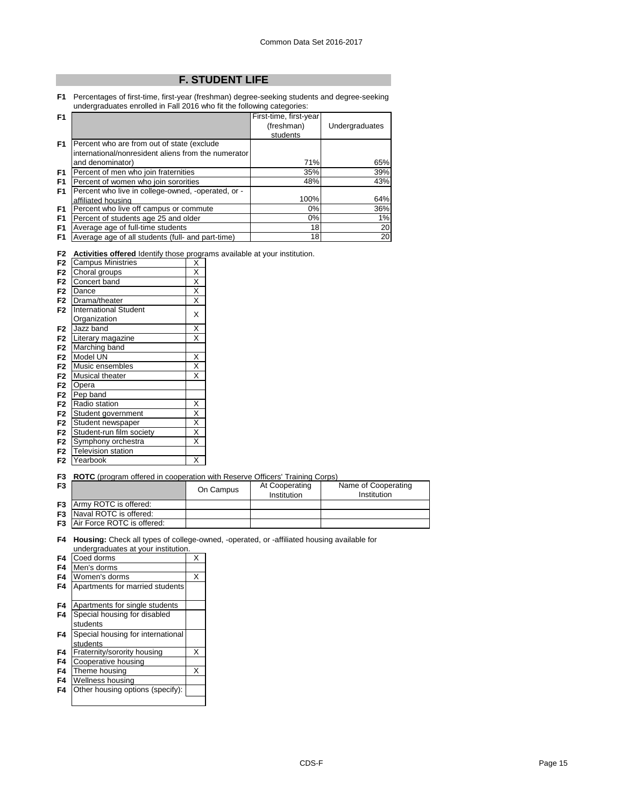# **F. STUDENT LIFE**

**F1** Percentages of first-time, first-year (freshman) degree-seeking students and degree-seeking undergraduates enrolled in Fall 2016 who fit the following categories:

| F <sub>1</sub> |                                                     | First-time, first-year |                |
|----------------|-----------------------------------------------------|------------------------|----------------|
|                |                                                     | (freshman)             | Undergraduates |
|                |                                                     | students               |                |
| F1             | Percent who are from out of state (exclude          |                        |                |
|                | international/nonresident aliens from the numerator |                        |                |
|                | and denominator)                                    | 71%                    | 65%            |
| F <sub>1</sub> | Percent of men who join fraternities                | 35%                    | 39%            |
| F <sub>1</sub> | Percent of women who join sororities                | 48%                    | 43%            |
| F <sub>1</sub> | Percent who live in college-owned, -operated, or -  |                        |                |
|                | affiliated housing                                  | 100%                   | 64%            |
| F <sub>1</sub> | Percent who live off campus or commute              | 0%                     | 36%            |
| F <sub>1</sub> | Percent of students age 25 and older                | 0%                     | 1%             |
| F <sub>1</sub> | Average age of full-time students                   | 18                     | 20             |
| F <sub>1</sub> | Average age of all students (full- and part-time)   | 18                     | 20             |

**F2 Activities offered** Identify those programs available at your institution.

| F <sub>2</sub> | <b>Campus Ministries</b>     | X                       |
|----------------|------------------------------|-------------------------|
| F <sub>2</sub> | Choral groups                | $\overline{\mathsf{x}}$ |
| F <sub>2</sub> | Concert band                 | X                       |
| F <sub>2</sub> | Dance                        | X                       |
| F <sub>2</sub> | Drama/theater                | $\overline{\mathsf{x}}$ |
| F <sub>2</sub> | <b>International Student</b> | X                       |
|                | Organization                 |                         |
| F <sub>2</sub> | Jazz band                    | Χ                       |
| F <sub>2</sub> | Literary magazine            | $\overline{\mathsf{x}}$ |
| F <sub>2</sub> | Marching band                |                         |
| F <sub>2</sub> | Model UN                     | X                       |
| F <sub>2</sub> | Music ensembles              | Χ                       |
| F <sub>2</sub> | Musical theater              | X                       |
| F <sub>2</sub> | Opera                        |                         |
| F <sub>2</sub> | Pep band                     |                         |
| F <sub>2</sub> | Radio station                | Χ                       |
| F <sub>2</sub> | Student government           | $\overline{\mathsf{x}}$ |
| F <sub>2</sub> | Student newspaper            | X                       |
| F <sub>2</sub> | Student-run film society     | Χ                       |
| F <sub>2</sub> | Symphony orchestra           | X                       |
| F <sub>2</sub> | <b>Television station</b>    |                         |
|                |                              |                         |

**F2** Yearbook X

**F3 ROTC** (program offered in cooperation with Reserve Officers' Training Corps)

| F <sub>3</sub> |                                      | On Campus | At Cooperating<br>Institution | Name of Cooperating<br>Institution |
|----------------|--------------------------------------|-----------|-------------------------------|------------------------------------|
|                | <b>F3</b> Army ROTC is offered:      |           |                               |                                    |
|                | <b>F3</b> Naval ROTC is offered:     |           |                               |                                    |
|                | <b>F3</b> Air Force ROTC is offered: |           |                               |                                    |

**F4 Housing:** Check all types of college-owned, -operated, or -affiliated housing available for undergraduates at your institution.

| F4 | Coed dorms                        | x |
|----|-----------------------------------|---|
| F4 | Men's dorms                       |   |
| F4 | Women's dorms                     | x |
| F4 | Apartments for married students   |   |
|    |                                   |   |
| F4 | Apartments for single students    |   |
| F4 | Special housing for disabled      |   |
|    | students                          |   |
| F4 | Special housing for international |   |
|    | students                          |   |
| F4 | Fraternity/sorority housing       | X |
| F4 | Cooperative housing               |   |
| F4 | Theme housing                     | x |
| F4 | Wellness housing                  |   |
| F4 | Other housing options (specify):  |   |
|    |                                   |   |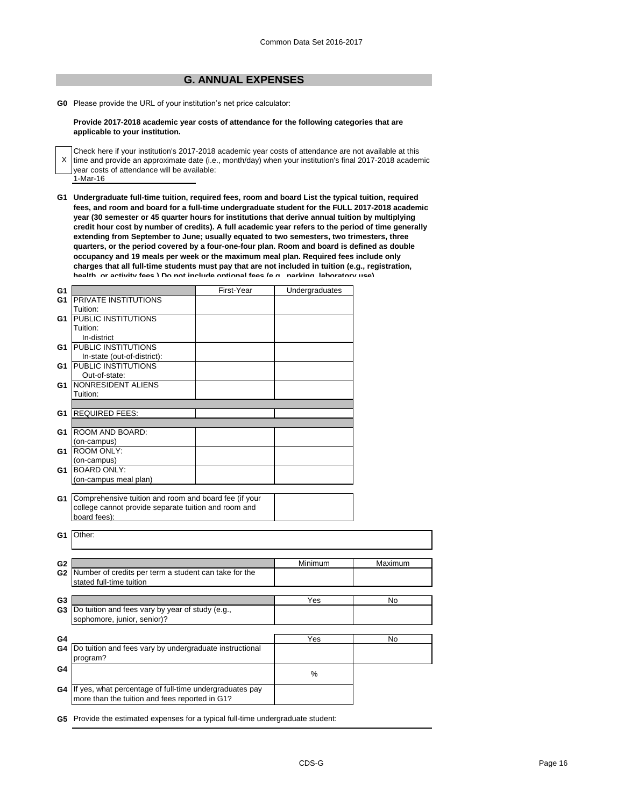# **G. ANNUAL EXPENSES**

**G0** Please provide the URL of your institution's net price calculator:

#### **Provide 2017-2018 academic year costs of attendance for the following categories that are applicable to your institution.**

X 1-Mar-16 Check here if your institution's 2017-2018 academic year costs of attendance are not available at this time and provide an approximate date (i.e., month/day) when your institution's final 2017-2018 academic year costs of attendance will be available:

**G1 Undergraduate full-time tuition, required fees, room and board List the typical tuition, required fees, and room and board for a full-time undergraduate student for the FULL 2017-2018 academic year (30 semester or 45 quarter hours for institutions that derive annual tuition by multiplying credit hour cost by number of credits). A full academic year refers to the period of time generally extending from September to June; usually equated to two semesters, two trimesters, three quarters, or the period covered by a four-one-four plan. Room and board is defined as double occupancy and 19 meals per week or the maximum meal plan. Required fees include only charges that all full-time students must pay that are not included in tuition (e.g., registration, health, or activity fees.) Do not include optional fees (e.g., parking, laboratory use).**

| G <sub>1</sub> |                                                            | First-Year | Undergraduates |         |
|----------------|------------------------------------------------------------|------------|----------------|---------|
| G1             | <b>PRIVATE INSTITUTIONS</b>                                |            |                |         |
|                | Tuition:                                                   |            |                |         |
| G1             | <b>PUBLIC INSTITUTIONS</b>                                 |            |                |         |
|                | Tuition:                                                   |            |                |         |
|                | In-district                                                |            |                |         |
| G1             | <b>PUBLIC INSTITUTIONS</b>                                 |            |                |         |
|                | In-state (out-of-district):                                |            |                |         |
| G <sub>1</sub> | <b>PUBLIC INSTITUTIONS</b>                                 |            |                |         |
|                | Out-of-state:                                              |            |                |         |
| G1             | NONRESIDENT ALIENS                                         |            |                |         |
|                | Tuition:                                                   |            |                |         |
|                |                                                            |            |                |         |
|                | <b>G1 REQUIRED FEES:</b>                                   |            |                |         |
|                |                                                            |            |                |         |
| G1             | <b>ROOM AND BOARD:</b>                                     |            |                |         |
|                | (on-campus)                                                |            |                |         |
| G1             | <b>ROOM ONLY:</b>                                          |            |                |         |
|                | (on-campus)                                                |            |                |         |
|                | <b>G1 BOARD ONLY:</b>                                      |            |                |         |
|                | (on-campus meal plan)                                      |            |                |         |
|                |                                                            |            |                |         |
|                | G1 Comprehensive tuition and room and board fee (if your   |            |                |         |
|                | college cannot provide separate tuition and room and       |            |                |         |
|                | board fees):                                               |            |                |         |
|                |                                                            |            |                |         |
| G1             | Other:                                                     |            |                |         |
|                |                                                            |            |                |         |
|                |                                                            |            |                |         |
| G <sub>2</sub> |                                                            |            | Minimum        | Maximum |
|                | G2 Number of credits per term a student can take for the   |            |                |         |
|                | stated full-time tuition                                   |            |                |         |
|                |                                                            |            |                |         |
| G <sub>3</sub> |                                                            |            | Yes            | No      |
|                | G3 Do tuition and fees vary by year of study (e.g.,        |            |                |         |
|                | sophomore, junior, senior)?                                |            |                |         |
|                |                                                            |            |                |         |
| G4             |                                                            |            | Yes            | No      |
| G4             | Do tuition and fees vary by undergraduate instructional    |            |                |         |
|                | program?                                                   |            |                |         |
| G4             |                                                            |            |                |         |
|                |                                                            |            | %              |         |
|                | G4 If yes, what percentage of full-time undergraduates pay |            |                |         |
|                | more than the tuition and fees reported in G1?             |            |                |         |
|                |                                                            |            |                |         |
|                |                                                            |            |                |         |

**G5** Provide the estimated expenses for a typical full-time undergraduate student: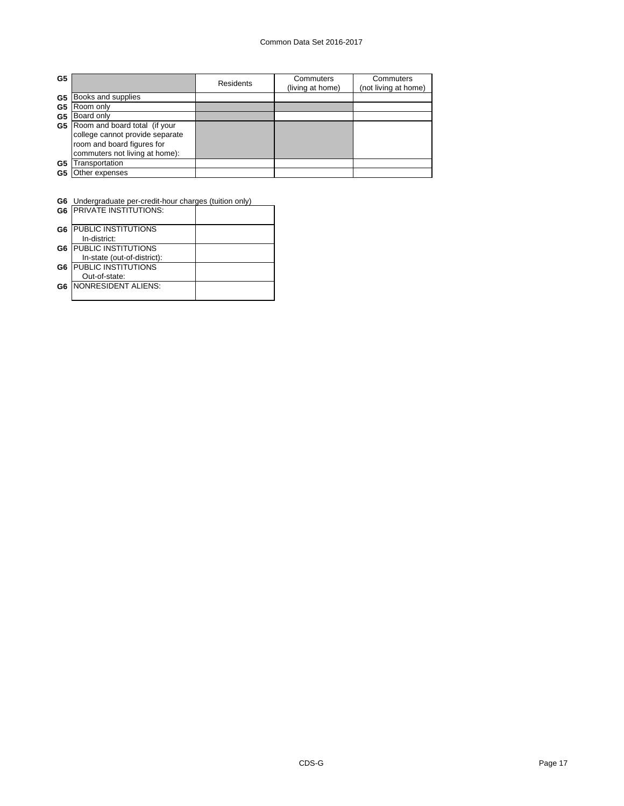| G5 |                                 | <b>Residents</b> | Commuters<br>(living at home) | Commuters<br>(not living at home) |
|----|---------------------------------|------------------|-------------------------------|-----------------------------------|
| G5 | Books and supplies              |                  |                               |                                   |
| G5 | Room only                       |                  |                               |                                   |
| G5 | Board only                      |                  |                               |                                   |
| G5 | Room and board total (if your   |                  |                               |                                   |
|    | college cannot provide separate |                  |                               |                                   |
|    | room and board figures for      |                  |                               |                                   |
|    | commuters not living at home):  |                  |                               |                                   |
| G5 | ransportation                   |                  |                               |                                   |
| G5 | Other expenses                  |                  |                               |                                   |

**G6** Undergraduate per-credit-hour charges (tuition only)

| G <sub>6</sub> | <b>PRIVATE INSTITUTIONS:</b>                              |  |
|----------------|-----------------------------------------------------------|--|
| G <sub>6</sub> | <b>PUBLIC INSTITUTIONS</b><br>In-district:                |  |
| G6             | <b>PUBLIC INSTITUTIONS</b><br>In-state (out-of-district): |  |
| G6             | <b>PUBLIC INSTITUTIONS</b><br>Out-of-state:               |  |
| G6             | <b>INONRESIDENT ALIENS:</b>                               |  |
|                |                                                           |  |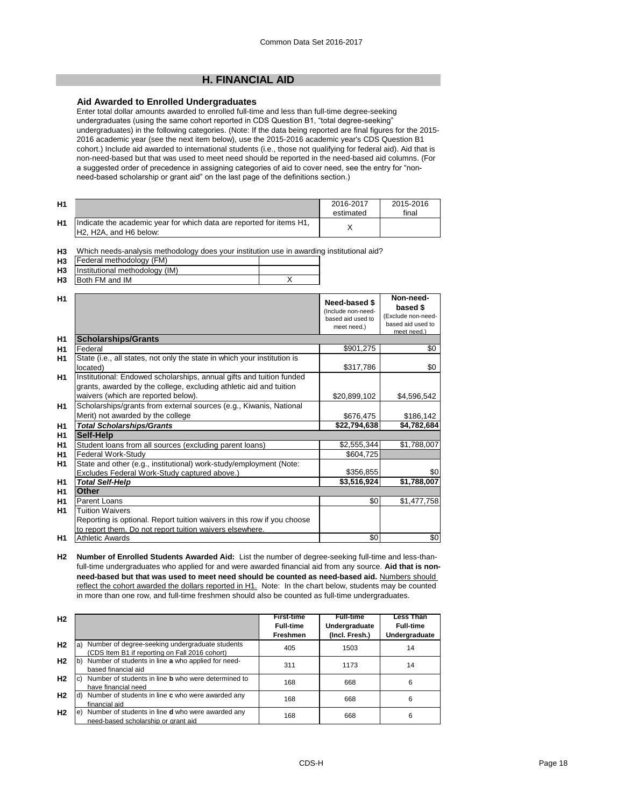# **H. FINANCIAL AID**

# **Aid Awarded to Enrolled Undergraduates**

Enter total dollar amounts awarded to enrolled full-time and less than full-time degree-seeking undergraduates (using the same cohort reported in CDS Question B1, "total degree-seeking" undergraduates) in the following categories. (Note: If the data being reported are final figures for the 2015- 2016 academic year (see the next item below), use the 2015-2016 academic year's CDS Question B1 cohort.) Include aid awarded to international students (i.e., those not qualifying for federal aid). Aid that is non-need-based but that was used to meet need should be reported in the need-based aid columns. (For a suggested order of precedence in assigning categories of aid to cover need, see the entry for "nonneed-based scholarship or grant aid" on the last page of the definitions section.)

| H <sub>1</sub> |                                                                                                                                      | 2016-2017<br>estimated | 2015-2016<br>final |
|----------------|--------------------------------------------------------------------------------------------------------------------------------------|------------------------|--------------------|
| H1             | Indicate the academic year for which data are reported for items H1,<br>H <sub>2</sub> . H <sub>2</sub> A, and H <sub>6</sub> below: |                        |                    |

|  | H3 Which needs-analysis methodology does your institution use in awarding institutional aid? |  |  |  |  |  |  |  |
|--|----------------------------------------------------------------------------------------------|--|--|--|--|--|--|--|
|--|----------------------------------------------------------------------------------------------|--|--|--|--|--|--|--|

**H3** Federal methodology (FM)

- **H3** Institutional methodology (IM)
- **H3** Both FM and IM  $\overline{X}$

| H1             |                                                                                                                                                                                   | Need-based \$<br>(Include non-need-<br>based aid used to | Non-need-<br>based \$<br>(Exclude non-need-<br>based aid used to |
|----------------|-----------------------------------------------------------------------------------------------------------------------------------------------------------------------------------|----------------------------------------------------------|------------------------------------------------------------------|
|                |                                                                                                                                                                                   | meet need.)                                              | meet need.)                                                      |
| H1             | <b>Scholarships/Grants</b>                                                                                                                                                        |                                                          |                                                                  |
| H <sub>1</sub> | Federal                                                                                                                                                                           | \$901,275                                                | \$0                                                              |
| H1             | State (i.e., all states, not only the state in which your institution is<br>located)                                                                                              | \$317,786                                                | \$0                                                              |
| H <sub>1</sub> | Institutional: Endowed scholarships, annual gifts and tuition funded<br>grants, awarded by the college, excluding athletic aid and tuition<br>waivers (which are reported below). | \$20,899,102                                             | \$4,596,542                                                      |
| H1             | Scholarships/grants from external sources (e.g., Kiwanis, National<br>Merit) not awarded by the college                                                                           | \$676,475                                                | \$186,142                                                        |
| H <sub>1</sub> | <b>Total Scholarships/Grants</b>                                                                                                                                                  | \$22,794,638                                             | \$4,782,684                                                      |
| <b>H1</b>      | Self-Help                                                                                                                                                                         |                                                          |                                                                  |
| H1             | Student loans from all sources (excluding parent loans)                                                                                                                           | \$2,555,344                                              | \$1,788,007                                                      |
| H <sub>1</sub> | Federal Work-Study                                                                                                                                                                | \$604,725                                                |                                                                  |
| H <sub>1</sub> | State and other (e.g., institutional) work-study/employment (Note:                                                                                                                |                                                          |                                                                  |
|                | Excludes Federal Work-Study captured above.)                                                                                                                                      | \$356,855                                                | \$0                                                              |
| <b>H1</b>      | <b>Total Self-Help</b>                                                                                                                                                            | \$3,516,924                                              | \$1,788,007                                                      |
| H1             | Other                                                                                                                                                                             |                                                          |                                                                  |
| H <sub>1</sub> | Parent Loans                                                                                                                                                                      | \$0                                                      | \$1,477,758                                                      |
| H1             | <b>Tuition Waivers</b>                                                                                                                                                            |                                                          |                                                                  |
|                | Reporting is optional. Report tuition waivers in this row if you choose                                                                                                           |                                                          |                                                                  |
|                | to report them. Do not report tuition waivers elsewhere.                                                                                                                          |                                                          |                                                                  |
| H1             | <b>Athletic Awards</b>                                                                                                                                                            | \$0                                                      | \$0                                                              |

**H2 Number of Enrolled Students Awarded Aid:** List the number of degree-seeking full-time and less-thanfull-time undergraduates who applied for and were awarded financial aid from any source. **Aid that is nonneed-based but that was used to meet need should be counted as need-based aid.** Numbers should reflect the cohort awarded the dollars reported in H1. Note: In the chart below, students may be counted in more than one row, and full-time freshmen should also be counted as full-time undergraduates.

| H <sub>2</sub> |                                                                                                         | <b>First-time</b><br><b>Full-time</b><br><b>Freshmen</b> | <b>Full-time</b><br>Undergraduate<br>(Incl. Fresh.) | <b>Less Than</b><br><b>Full-time</b><br>Undergraduate |
|----------------|---------------------------------------------------------------------------------------------------------|----------------------------------------------------------|-----------------------------------------------------|-------------------------------------------------------|
| H <sub>2</sub> | Number of degree-seeking undergraduate students<br>a)<br>(CDS Item B1 if reporting on Fall 2016 cohort) | 405                                                      | 1503                                                | 14                                                    |
| H <sub>2</sub> | Number of students in line a who applied for need-<br>based financial aid                               | 311                                                      | 1173                                                | 14                                                    |
| H <sub>2</sub> | Number of students in line <b>b</b> who were determined to<br>have financial need                       | 168                                                      | 668                                                 | 6                                                     |
| H <sub>2</sub> | Number of students in line c who were awarded any<br>d)<br>financial aid                                | 168                                                      | 668                                                 | 6                                                     |
| H <sub>2</sub> | Number of students in line d who were awarded any<br>e)<br>need-based scholarship or grant aid          | 168                                                      | 668                                                 | 6                                                     |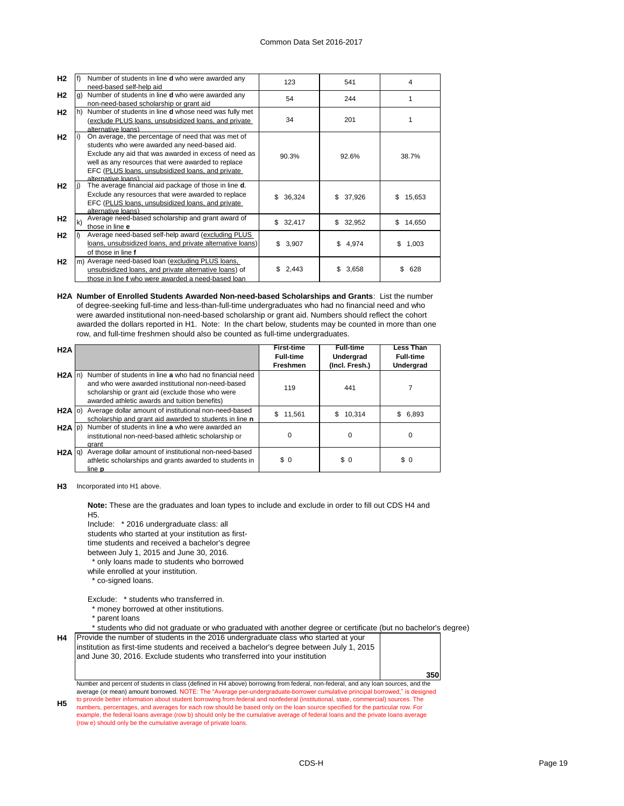| H <sub>2</sub> |      | Number of students in line <b>d</b> who were awarded any<br>need-based self-help aid                                                                                                                                                                                                         | 123          | 541          | 4             |
|----------------|------|----------------------------------------------------------------------------------------------------------------------------------------------------------------------------------------------------------------------------------------------------------------------------------------------|--------------|--------------|---------------|
| H <sub>2</sub> | l a) | Number of students in line d who were awarded any<br>non-need-based scholarship or grant aid                                                                                                                                                                                                 | 54           | 244          |               |
| H <sub>2</sub> | lh)  | Number of students in line <b>d</b> whose need was fully met<br>(exclude PLUS loans, unsubsidized loans, and private<br>alternative loans)                                                                                                                                                   | 34           | 201          |               |
| H2             |      | On average, the percentage of need that was met of<br>students who were awarded any need-based aid.<br>Exclude any aid that was awarded in excess of need as<br>well as any resources that were awarded to replace<br>EFC (PLUS loans, unsubsidized loans, and private<br>alternative loans) | 90.3%        | 92.6%        | 38.7%         |
| H <sub>2</sub> |      | The average financial aid package of those in line d.<br>Exclude any resources that were awarded to replace<br>EFC (PLUS loans, unsubsidized loans, and private<br>alternative loans)                                                                                                        | 36,324<br>\$ | 37,926<br>\$ | 15,653<br>\$. |
| H <sub>2</sub> | Ik)  | Average need-based scholarship and grant award of<br>those in line e                                                                                                                                                                                                                         | 32,417<br>\$ | \$<br>32,952 | \$<br>14,650  |
| H <sub>2</sub> |      | Average need-based self-help award (excluding PLUS<br>loans, unsubsidized loans, and private alternative loans)<br>of those in line f                                                                                                                                                        | \$3,907      | \$4,974      | 1,003<br>S    |
| H <sub>2</sub> |      | m) Average need-based loan (excluding PLUS loans,<br>unsubsidized loans, and private alternative loans) of<br>those in line f who were awarded a need-based loan                                                                                                                             | 2,443<br>\$. | 3,658<br>S.  | \$<br>628     |

**H2A Number of Enrolled Students Awarded Non-need-based Scholarships and Grants**: List the number of degree-seeking full-time and less-than-full-time undergraduates who had no financial need and who were awarded institutional non-need-based scholarship or grant aid. Numbers should reflect the cohort awarded the dollars reported in H1. Note: In the chart below, students may be counted in more than one row, and full-time freshmen should also be counted as full-time undergraduates.

| H2A               |                                                                                                                                                                                                                  | <b>First-time</b><br><b>Full-time</b><br><b>Freshmen</b> | <b>Full-time</b><br>Undergrad<br>(Incl. Fresh.) | <b>Less Than</b><br><b>Full-time</b><br>Undergrad |
|-------------------|------------------------------------------------------------------------------------------------------------------------------------------------------------------------------------------------------------------|----------------------------------------------------------|-------------------------------------------------|---------------------------------------------------|
| $H2A$ In)         | Number of students in line a who had no financial need<br>and who were awarded institutional non-need-based<br>scholarship or grant aid (exclude those who were<br>awarded athletic awards and tuition benefits) | 119                                                      | 441                                             |                                                   |
| $H2A$ (o)         | Average dollar amount of institutional non-need-based<br>scholarship and grant aid awarded to students in line n                                                                                                 | 11.561<br>\$                                             | \$10.314                                        | \$6,893                                           |
| $H2A$ $ p\rangle$ | Number of students in line a who were awarded an<br>institutional non-need-based athletic scholarship or<br>arant                                                                                                | <sup>0</sup>                                             | $\Omega$                                        | $\Omega$                                          |
| H2A  q            | Average dollar amount of institutional non-need-based<br>athletic scholarships and grants awarded to students in<br>line <b>p</b>                                                                                | \$0                                                      | \$0                                             | \$0                                               |

**H3** Incorporated into H1 above.

**Note:** These are the graduates and loan types to include and exclude in order to fill out CDS H4 and H5.

Include: \* 2016 undergraduate class: all

students who started at your institution as first-

time students and received a bachelor's degree

between July 1, 2015 and June 30, 2016.

\* only loans made to students who borrowed

- while enrolled at your institution.
- \* co-signed loans.

Exclude: \* students who transferred in.

- \* money borrowed at other institutions.
- \* parent loans

```
 * students who did not graduate or who graduated with another degree or certificate (but no bachelor's degree)
```
**H4** Provide the number of students in the 2016 undergraduate class who started at your institution as first-time students and received a bachelor's degree between July 1, 2015 and June 30, 2016. Exclude students who transferred into your institution

**H5** Number and percent of students in class (defined in H4 above) borrowing from federal, non-federal, and any loan sources, and the average (or mean) amount borrowed. NOTE: The "Average per-undergraduate-borrower cumulative principal borrowed," is designed to provide better information about student borrowing from federal and nonfederal (institutional, state, commercial) sources. The numbers, percentages, and averages for each row should be based only on the loan source specified for the particular row. For example, the federal loans average (row b) should only be the cumulative average of federal loans and the private loans average (row e) should only be the cumulative average of private loans.

**350**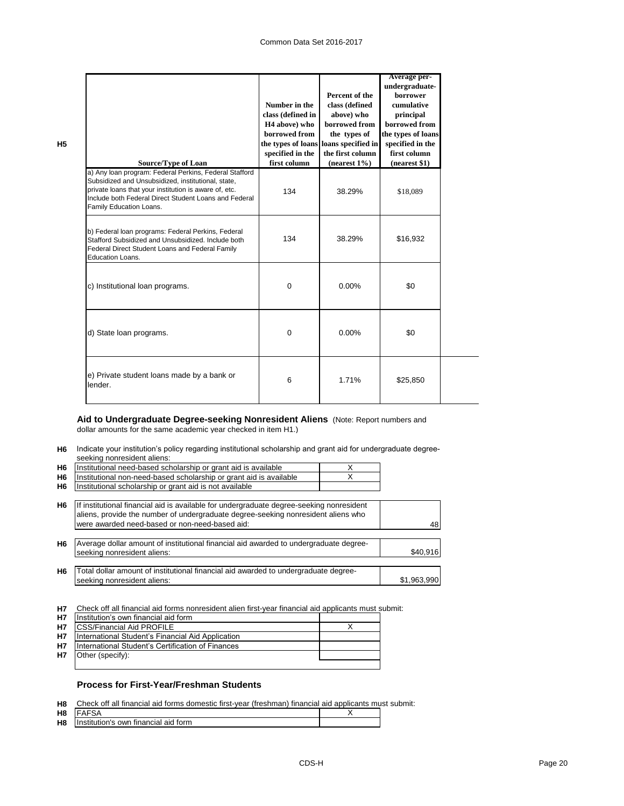|  | ۰, |
|--|----|
|  | ٦  |
|  | ۰, |

| <b>Source/Type of Loan</b>                                                                                                                                                                                                                                | Number in the<br>class (defined in<br>H <sub>4</sub> above) who<br>borrowed from<br>specified in the<br>first column | Percent of the<br>class (defined<br>above) who<br>borrowed from<br>the types of<br>the types of loans loans specified in<br>the first column<br>$(nearest 1\%)$ | Average per-<br>undergraduate-<br>borrower<br>cumulative<br>principal<br>borrowed from<br>the types of loans<br>specified in the<br>first column<br>(nearest \$1) |
|-----------------------------------------------------------------------------------------------------------------------------------------------------------------------------------------------------------------------------------------------------------|----------------------------------------------------------------------------------------------------------------------|-----------------------------------------------------------------------------------------------------------------------------------------------------------------|-------------------------------------------------------------------------------------------------------------------------------------------------------------------|
| a) Any loan program: Federal Perkins, Federal Stafford<br>Subsidized and Unsubsidized, institutional, state,<br>private loans that your institution is aware of, etc.<br>Include both Federal Direct Student Loans and Federal<br>Family Education Loans. | 134                                                                                                                  | 38.29%                                                                                                                                                          | \$18,089                                                                                                                                                          |
| b) Federal loan programs: Federal Perkins, Federal<br>Stafford Subsidized and Unsubsidized, Include both<br>Federal Direct Student Loans and Federal Family<br><b>Education Loans.</b>                                                                    | 134                                                                                                                  | 38.29%                                                                                                                                                          | \$16,932                                                                                                                                                          |
| c) Institutional loan programs.                                                                                                                                                                                                                           | 0                                                                                                                    | $0.00\%$                                                                                                                                                        | \$0                                                                                                                                                               |
| d) State loan programs.                                                                                                                                                                                                                                   | 0                                                                                                                    | 0.00%                                                                                                                                                           | \$0                                                                                                                                                               |
| e) Private student loans made by a bank or<br>lender.                                                                                                                                                                                                     | 6                                                                                                                    | 1.71%                                                                                                                                                           | \$25,850                                                                                                                                                          |

**Aid to Undergraduate Degree-seeking Nonresident Aliens** (Note: Report numbers and dollar amounts for the same academic year checked in item H1.)

**H6** Indicate your institution's policy regarding institutional scholarship and grant aid for undergraduate degreeseeking nonresident aliens:

| <b>H6</b>      | Institutional need-based scholarship or grant aid is available     |  |
|----------------|--------------------------------------------------------------------|--|
| H6             | Institutional non-need-based scholarship or grant aid is available |  |
| H <sub>6</sub> | Institutional scholarship or grant aid is not available            |  |
|                |                                                                    |  |

| H <sub>6</sub> | If institutional financial aid is available for undergraduate degree-seeking nonresident<br>aliens, provide the number of undergraduate degree-seeking nonresident aliens who |             |
|----------------|-------------------------------------------------------------------------------------------------------------------------------------------------------------------------------|-------------|
|                | were awarded need-based or non-need-based aid:                                                                                                                                | 48          |
|                |                                                                                                                                                                               |             |
| H <sub>6</sub> | Average dollar amount of institutional financial aid awarded to undergraduate degree-                                                                                         |             |
|                | seeking nonresident aliens:                                                                                                                                                   | \$40,916    |
|                |                                                                                                                                                                               |             |
| H <sub>6</sub> | Total dollar amount of institutional financial aid awarded to undergraduate degree-                                                                                           |             |
|                | seeking nonresident aliens:                                                                                                                                                   | \$1,963,990 |

**H7** Check off all financial aid forms nonresident alien first-year financial aid applicants must submit:

| <b>H7</b> | Ilnstitution's own financial aid form              |  |
|-----------|----------------------------------------------------|--|
| <b>H7</b> | <b>ICSS/Financial Aid PROFILE</b>                  |  |
| <b>H7</b> | International Student's Financial Aid Application  |  |
| <b>H7</b> | IInternational Student's Certification of Finances |  |
| <b>H7</b> | Other (specify):                                   |  |
|           |                                                    |  |

### **Process for First-Year/Freshman Students**

**H8** Check off all financial aid forms domestic first-year (freshman) financial aid applicants must submit:

| $\cdots$<br>.          | -- ·                                        |  |
|------------------------|---------------------------------------------|--|
| $\overline{110}$<br>по | form<br>$ -$<br>aid<br>N<br>tinani.<br>сія. |  |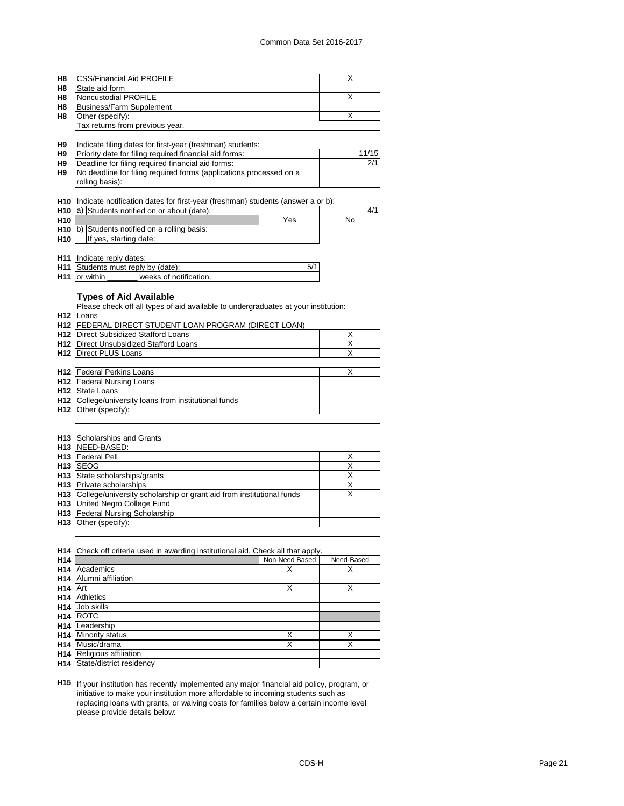| H <sub>8</sub> | ICSS/Financial Aid PROFILE      |  |
|----------------|---------------------------------|--|
| H <sub>8</sub> | State aid form                  |  |
| H <sub>8</sub> | Noncustodial PROFILE            |  |
| H <sub>8</sub> | Business/Farm Supplement        |  |
| H <sub>8</sub> | Other (specify):                |  |
|                | Tax returns from previous vear. |  |

#### **H9** Indicate filing dates for first-year (freshman) students:

| Priority date for filing required financial aid forms:             | 11/15 |
|--------------------------------------------------------------------|-------|
| Deadline for filing required financial aid forms:                  | 2/1   |
| No deadline for filing required forms (applications processed on a |       |
| rolling basis):                                                    |       |
|                                                                    |       |

### **H10** Indicate notification dates for first-year (freshman) students (answer a or b):

|      | $H10$ a) Students notified on or about (date): |  |
|------|------------------------------------------------|--|
| ---- |                                                |  |

| H <sub>10</sub> |                                              | Yes | Nα |
|-----------------|----------------------------------------------|-----|----|
|                 | H10 b) Students notified on a rolling basis: |     |    |
| H <sub>10</sub> | If yes, starting date:                       |     |    |

**H11** Indicate reply dates:

| <b>H11</b> Students must reply by (date):      |  |
|------------------------------------------------|--|
| <b>H11</b> or within<br>weeks of notification. |  |

# **Types of Aid Available**

Please check off all types of aid available to undergraduates at your institution:

**H12** Loans

| <b>H12 FEDERAL DIRECT STUDENT LOAN PROGRAM (DIRECT LOAN)</b> |  |
|--------------------------------------------------------------|--|
| <b>H12</b> Direct Subsidized Stafford Loans                  |  |
| <b>H12</b> I Direct Unsubsidized Stafford Loans              |  |
| <b>H12</b> Direct PLUS Loans                                 |  |
|                                                              |  |
| <b>H12</b> Federal Perkins Loans                             |  |
| <b>H12</b> Federal Nursing Loans                             |  |
| <b>H12</b> State Loans                                       |  |
|                                                              |  |

| <b>H12</b> State Loans                                            |  |
|-------------------------------------------------------------------|--|
| H <sub>12</sub> College/university loans from institutional funds |  |
| H <sub>12</sub> Other (specify):                                  |  |
|                                                                   |  |

|  | H13 Scholarships and Grants |  |  |
|--|-----------------------------|--|--|
|--|-----------------------------|--|--|

|                 | H <sub>13</sub> NEED-BASED:                                              |   |
|-----------------|--------------------------------------------------------------------------|---|
| H <sub>13</sub> | <b>Federal Pell</b>                                                      |   |
| H <sub>13</sub> | <b>ISEOG</b>                                                             | х |
|                 | H <sub>13</sub> State scholarships/grants                                | X |
|                 | <b>H13</b> Private scholarships                                          | X |
|                 | H13 College/university scholarship or grant aid from institutional funds |   |
|                 | <b>H13</b> United Negro College Fund                                     |   |
|                 | H13 Federal Nursing Scholarship                                          |   |
|                 | H <sub>13</sub> Other (specify):                                         |   |
|                 |                                                                          |   |

**H14** Check off criteria used in awarding institutional aid. Check all that apply.

| H <sub>14</sub> |                          | Non-Need Based | Need-Based |
|-----------------|--------------------------|----------------|------------|
| H <sub>14</sub> | Academics                | Х              | Х          |
| H <sub>14</sub> | Alumni affiliation       |                |            |
| H <sub>14</sub> | Art                      | Χ              | Χ          |
| H <sub>14</sub> | <b>Athletics</b>         |                |            |
| H <sub>14</sub> | Job skills               |                |            |
| H <sub>14</sub> | <b>ROTC</b>              |                |            |
| H <sub>14</sub> | Leadership               |                |            |
| H <sub>14</sub> | <b>Minority status</b>   | Χ              | Χ          |
| H <sub>14</sub> | Music/drama              | Χ              | Χ          |
| H <sub>14</sub> | Religious affiliation    |                |            |
| H <sub>14</sub> | State/district residency |                |            |

**H15** If your institution has recently implemented any major financial aid policy, program, or initiative to make your institution more affordable to incoming students such as replacing loans with grants, or waiving costs for families below a certain income level please provide details below: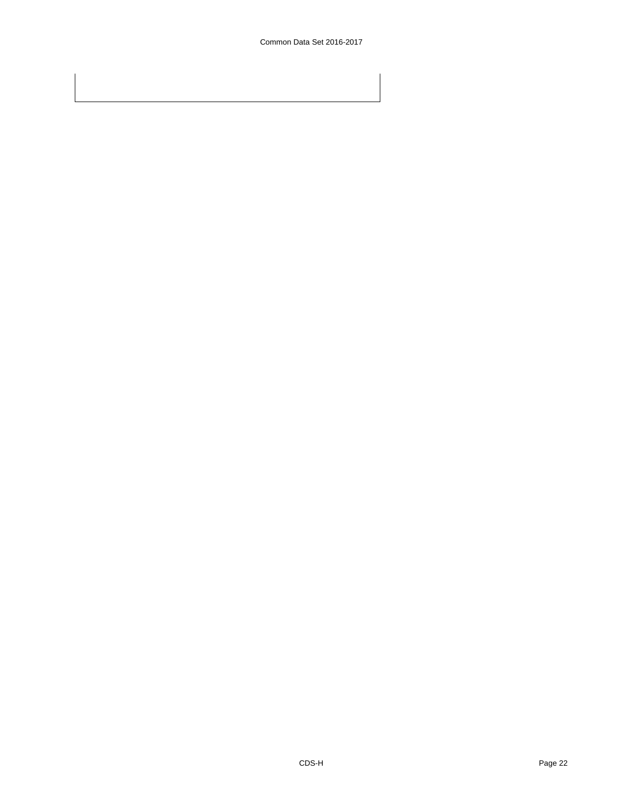Common Data Set 2016-2017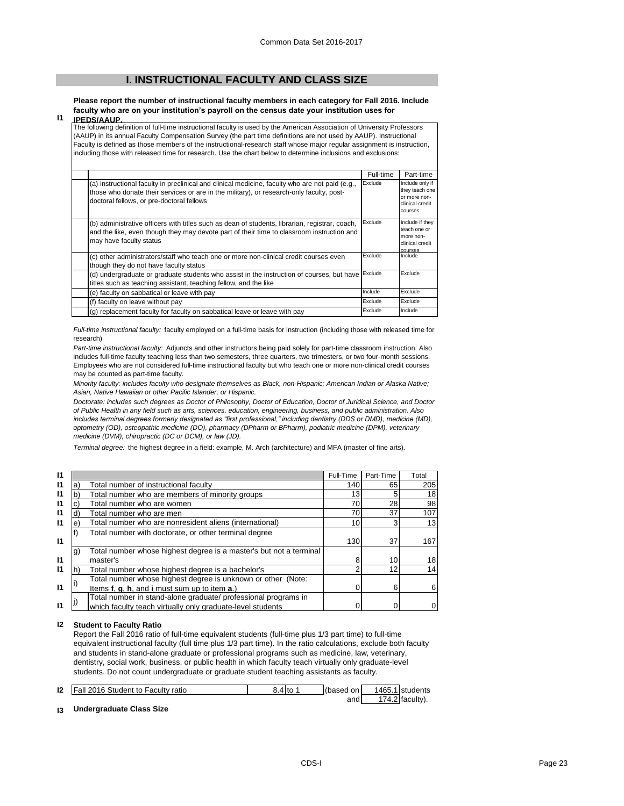# **I. INSTRUCTIONAL FACULTY AND CLASS SIZE**

**Please report the number of instructional faculty members in each category for Fall 2016. Include faculty who are on your institution's payroll on the census date your institution uses for IPEDS/AAUP.**

#### **I1**

The following definition of full-time instructional faculty is used by the American Association of University Professors (AAUP) in its annual Faculty Compensation Survey (the part time definitions are not used by AAUP). Instructional Faculty is defined as those members of the instructional-research staff whose major regular assignment is instruction, including those with released time for research. Use the chart below to determine inclusions and exclusions:

|                                                                                                                                                                                                                                          | Full-time | Part-time                                                                       |
|------------------------------------------------------------------------------------------------------------------------------------------------------------------------------------------------------------------------------------------|-----------|---------------------------------------------------------------------------------|
| (a) instructional faculty in preclinical and clinical medicine, faculty who are not paid (e.g.,<br>those who donate their services or are in the military), or research-only faculty, post-<br>doctoral fellows, or pre-doctoral fellows | Exclude   | Include only if<br>they teach one<br>or more non-<br>clinical credit<br>courses |
| (b) administrative officers with titles such as dean of students, librarian, registrar, coach,<br>and the like, even though they may devote part of their time to classroom instruction and<br>may have faculty status                   | Exclude   | Include if they<br>teach one or<br>more non-<br>clinical credit<br>courses      |
| (c) other administrators/staff who teach one or more non-clinical credit courses even<br>though they do not have faculty status                                                                                                          | Exclude   | Include                                                                         |
| (d) undergraduate or graduate students who assist in the instruction of courses, but have Exclude<br>titles such as teaching assistant, teaching fellow, and the like                                                                    |           | Exclude                                                                         |
| (e) faculty on sabbatical or leave with pay                                                                                                                                                                                              | Include   | Exclude                                                                         |
| (f) faculty on leave without pay                                                                                                                                                                                                         | Exclude   | Exclude                                                                         |
| (g) replacement faculty for faculty on sabbatical leave or leave with pay                                                                                                                                                                | Exclude   | Include                                                                         |

*Full-time instructional faculty:* faculty employed on a full-time basis for instruction (including those with released time for research)

*Part-time instructional faculty:* Adjuncts and other instructors being paid solely for part-time classroom instruction. Also includes full-time faculty teaching less than two semesters, three quarters, two trimesters, or two four-month sessions. Employees who are not considered full-time instructional faculty but who teach one or more non-clinical credit courses may be counted as part-time faculty.

*Minority faculty: includes faculty who designate themselves as Black, non-Hispanic; American Indian or Alaska Native; Asian, Native Hawaiian or other Pacific Islander, or Hispanic.* 

*Doctorate: includes such degrees as Doctor of Philosophy, Doctor of Education, Doctor of Juridical Science, and Doctor of Public Health in any field such as arts, sciences, education, engineering, business, and public administration. Also includes terminal degrees formerly designated as "first professional," including dentistry (DDS or DMD), medicine (MD), optometry (OD), osteopathic medicine (DO), pharmacy (DPharm or BPharm), podiatric medicine (DPM), veterinary medicine (DVM), chiropractic (DC or DCM), or law (JD).*

*Terminal degree:* the highest degree in a field: example, M. Arch (architecture) and MFA (master of fine arts).

| $\mathbf{I}$ |    |                                                                    | Full-Time | Part-Time | Total |
|--------------|----|--------------------------------------------------------------------|-----------|-----------|-------|
| 11           | a) | Total number of instructional faculty                              | 140       | 65        | 205   |
| $\mathsf{I}$ | b  | Total number who are members of minority groups                    | 13        | 5         | 18    |
| $\mathsf{I}$ | c  | Total number who are women                                         | 70        | 28        | 98    |
| $\mathsf{I}$ | ď  | Total number who are men                                           | 70        | 37        | 107   |
| $\mathsf{I}$ | e  | Total number who are nonresident aliens (international)            | 10        | 3         | 13    |
|              |    | Total number with doctorate, or other terminal degree              |           |           |       |
| $\mathbf{I}$ |    |                                                                    | 130       | 37        | 167   |
|              | g) | Total number whose highest degree is a master's but not a terminal |           |           |       |
| $\mathbf{I}$ |    | master's                                                           |           | 10        | 18    |
| $\mathbf{I}$ |    | Total number whose highest degree is a bachelor's                  |           | 12        | 14    |
|              |    | Total number whose highest degree is unknown or other (Note:       |           |           |       |
| $\mathbf{I}$ |    | Items f, g, h, and i must sum up to item a.)                       |           | 6         | 6     |
|              |    | Total number in stand-alone graduate/ professional programs in     |           |           |       |
| 11           |    | which faculty teach virtually only graduate-level students         |           | $\Omega$  |       |

#### **I2 Student to Faculty Ratio**

Report the Fall 2016 ratio of full-time equivalent students (full-time plus 1/3 part time) to full-time equivalent instructional faculty (full time plus 1/3 part time). In the ratio calculations, exclude both faculty and students in stand-alone graduate or professional programs such as medicine, law, veterinary, dentistry, social work, business, or public health in which faculty teach virtually only graduate-level students. Do not count undergraduate or graduate student teaching assistants as faculty.

| <b>12</b> Fall 2016 Student to Faculty ratio | 8.4 to | (based on | 1465.1 students |
|----------------------------------------------|--------|-----------|-----------------|
|                                              |        | and       | 174.2 faculty). |

#### **I3 Undergraduate Class Size**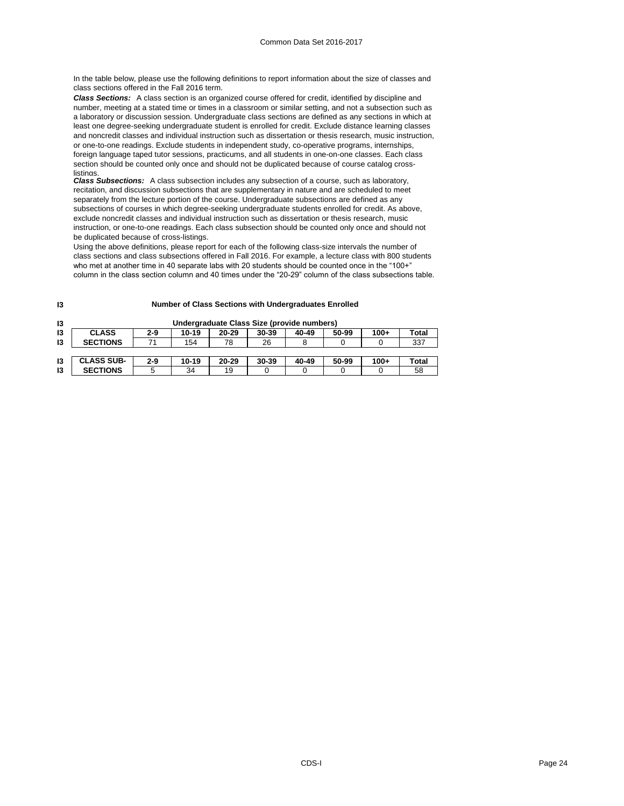In the table below, please use the following definitions to report information about the size of classes and class sections offered in the Fall 2016 term.

*Class Sections:* A class section is an organized course offered for credit, identified by discipline and number, meeting at a stated time or times in a classroom or similar setting, and not a subsection such as a laboratory or discussion session. Undergraduate class sections are defined as any sections in which at least one degree-seeking undergraduate student is enrolled for credit. Exclude distance learning classes and noncredit classes and individual instruction such as dissertation or thesis research, music instruction, or one-to-one readings. Exclude students in independent study, co-operative programs, internships, foreign language taped tutor sessions, practicums, and all students in one-on-one classes. Each class section should be counted only once and should not be duplicated because of course catalog cross-

listings. *Class Subsections:* A class subsection includes any subsection of a course, such as laboratory, recitation, and discussion subsections that are supplementary in nature and are scheduled to meet separately from the lecture portion of the course. Undergraduate subsections are defined as any subsections of courses in which degree-seeking undergraduate students enrolled for credit. As above, exclude noncredit classes and individual instruction such as dissertation or thesis research, music instruction, or one-to-one readings. Each class subsection should be counted only once and should not be duplicated because of cross-listings.

Using the above definitions, please report for each of the following class-size intervals the number of class sections and class subsections offered in Fall 2016. For example, a lecture class with 800 students who met at another time in 40 separate labs with 20 students should be counted once in the "100+" column in the class section column and 40 times under the "20-29" column of the class subsections table.

| 13 | Number of Class Sections with Undergraduates Enrolled |         |       |       |                                            |       |       |        |       |
|----|-------------------------------------------------------|---------|-------|-------|--------------------------------------------|-------|-------|--------|-------|
| 13 |                                                       |         |       |       | Undergraduate Class Size (provide numbers) |       |       |        |       |
| 13 | <b>CLASS</b>                                          | 2-9     | 10-19 | 20-29 | 30-39                                      | 40-49 | 50-99 | $100+$ | Total |
| 13 | <b>SECTIONS</b>                                       | 71      | 154   | 78    | 26                                         |       |       |        | 337   |
|    |                                                       |         |       |       |                                            |       |       |        |       |
| 13 | <b>CLASS SUB-</b>                                     | $2 - 9$ | 10-19 | 20-29 | 30-39                                      | 40-49 | 50-99 | $100+$ | Total |
| 13 | <b>SECTIONS</b>                                       | 5       | 34    | 19    |                                            |       |       |        | 58    |

**I3**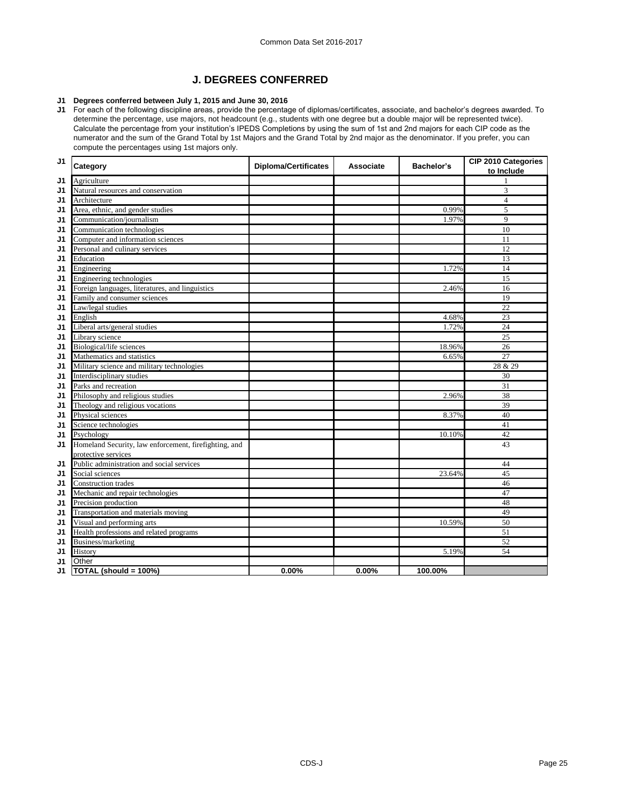# **J. DEGREES CONFERRED**

# **J1 Degrees conferred between July 1, 2015 and June 30, 2016**

J1 For each of the following discipline areas, provide the percentage of diplomas/certificates, associate, and bachelor's degrees awarded. To determine the percentage, use majors, not headcount (e.g., students with one degree but a double major will be represented twice). Calculate the percentage from your institution's IPEDS Completions by using the sum of 1st and 2nd majors for each CIP code as the numerator and the sum of the Grand Total by 1st Majors and the Grand Total by 2nd major as the denominator. If you prefer, you can compute the percentages using 1st majors only.

| J <sub>1</sub> | Category                                              | <b>Diploma/Certificates</b> | <b>Associate</b> | Bachelor's | CIP 2010 Categories<br>to Include |
|----------------|-------------------------------------------------------|-----------------------------|------------------|------------|-----------------------------------|
| J1             | Agriculture                                           |                             |                  |            | $\mathbf{1}$                      |
| J1             | Natural resources and conservation                    |                             |                  |            | 3                                 |
| J1             | Architecture                                          |                             |                  |            | $\overline{4}$                    |
| J1             | Area, ethnic, and gender studies                      |                             |                  | 0.99%      | 5                                 |
| J1             | Communication/journalism                              |                             |                  | 1.97%      | 9                                 |
| J1             | Communication technologies                            |                             |                  |            | 10                                |
| J1             | Computer and information sciences                     |                             |                  |            | 11                                |
| J1             | Personal and culinary services                        |                             |                  |            | 12                                |
| J1             | Education                                             |                             |                  |            | 13                                |
| J1             | Engineering                                           |                             |                  | 1.72%      | 14                                |
| J1             | Engineering technologies                              |                             |                  |            | 15                                |
| J1             | Foreign languages, literatures, and linguistics       |                             |                  | 2.46%      | 16                                |
| J1             | Family and consumer sciences                          |                             |                  |            | 19                                |
| J1             | Law/legal studies                                     |                             |                  |            | $\overline{22}$                   |
| J1             | English                                               |                             |                  | 4.68%      | $\overline{23}$                   |
| J1             | Liberal arts/general studies                          |                             |                  | 1.72%      | 24                                |
| J1             | Library science                                       |                             |                  |            | 25                                |
| J1             | Biological/life sciences                              |                             |                  | 18.96%     | 26                                |
| J1             | Mathematics and statistics                            |                             |                  | 6.65%      | 27                                |
| J1             | Military science and military technologies            |                             |                  |            | 28 & 29                           |
| J1             | Interdisciplinary studies                             |                             |                  |            | 30                                |
| J1             | Parks and recreation                                  |                             |                  |            | $\overline{31}$                   |
| J1             | Philosophy and religious studies                      |                             |                  | 2.96%      | 38                                |
| J1             | Theology and religious vocations                      |                             |                  |            | 39                                |
| J1             | Physical sciences                                     |                             |                  | 8.37%      | 40                                |
| J1             | Science technologies                                  |                             |                  |            | 41                                |
| J1             | Psychology                                            |                             |                  | 10.10%     | 42                                |
| J1             | Homeland Security, law enforcement, firefighting, and |                             |                  |            | 43                                |
|                | protective services                                   |                             |                  |            |                                   |
| J1             | Public administration and social services             |                             |                  |            | 44                                |
| J1             | Social sciences                                       |                             |                  | 23.64%     | 45                                |
| J1             | <b>Construction trades</b>                            |                             |                  |            | 46                                |
| J1             | Mechanic and repair technologies                      |                             |                  |            | 47                                |
| J1             | Precision production                                  |                             |                  |            | 48                                |
| J1             | Transportation and materials moving                   |                             |                  |            | 49                                |
| J1             | Visual and performing arts                            |                             |                  | 10.59%     | 50                                |
| J1             | Health professions and related programs               |                             |                  |            | 51                                |
| J1             | Business/marketing                                    |                             |                  |            | 52                                |
| J1             | History                                               |                             |                  | 5.19%      | 54                                |
| J1             | Other                                                 |                             |                  |            |                                   |
| J1             | TOTAL (should = 100%)                                 | 0.00%                       | 0.00%            | 100.00%    |                                   |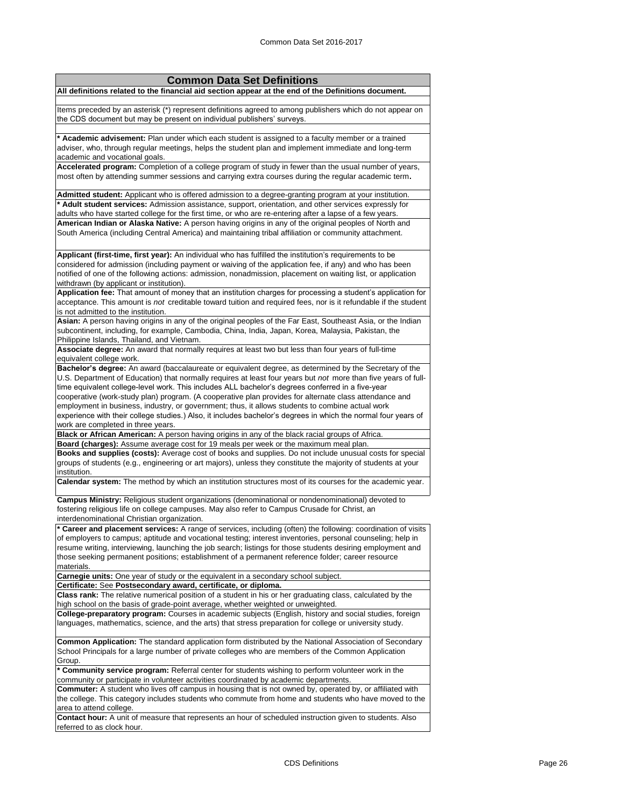| <b>Common Data Set Definitions</b>                                                                                                                                                                               |
|------------------------------------------------------------------------------------------------------------------------------------------------------------------------------------------------------------------|
| All definitions related to the financial aid section appear at the end of the Definitions document.                                                                                                              |
|                                                                                                                                                                                                                  |
| Items preceded by an asterisk (*) represent definitions agreed to among publishers which do not appear on<br>the CDS document but may be present on individual publishers' surveys.                              |
|                                                                                                                                                                                                                  |
| * Academic advisement: Plan under which each student is assigned to a faculty member or a trained                                                                                                                |
|                                                                                                                                                                                                                  |
| adviser, who, through regular meetings, helps the student plan and implement immediate and long-term                                                                                                             |
| academic and vocational goals.                                                                                                                                                                                   |
| Accelerated program: Completion of a college program of study in fewer than the usual number of years,                                                                                                           |
| most often by attending summer sessions and carrying extra courses during the regular academic term.                                                                                                             |
|                                                                                                                                                                                                                  |
| Admitted student: Applicant who is offered admission to a degree-granting program at your institution.<br>* Adult student services: Admission assistance, support, orientation, and other services expressly for |
|                                                                                                                                                                                                                  |
| adults who have started college for the first time, or who are re-entering after a lapse of a few years.                                                                                                         |
| American Indian or Alaska Native: A person having origins in any of the original peoples of North and                                                                                                            |
| South America (including Central America) and maintaining tribal affiliation or community attachment.                                                                                                            |
|                                                                                                                                                                                                                  |
| Applicant (first-time, first year): An individual who has fulfilled the institution's requirements to be                                                                                                         |
| considered for admission (including payment or waiving of the application fee, if any) and who has been                                                                                                          |
| notified of one of the following actions: admission, nonadmission, placement on waiting list, or application                                                                                                     |
| withdrawn (by applicant or institution).                                                                                                                                                                         |
| Application fee: That amount of money that an institution charges for processing a student's application for                                                                                                     |
| acceptance. This amount is not creditable toward tuition and required fees, nor is it refundable if the student                                                                                                  |
| is not admitted to the institution.                                                                                                                                                                              |
| Asian: A person having origins in any of the original peoples of the Far East, Southeast Asia, or the Indian                                                                                                     |
| subcontinent, including, for example, Cambodia, China, India, Japan, Korea, Malaysia, Pakistan, the                                                                                                              |
| Philippine Islands, Thailand, and Vietnam.                                                                                                                                                                       |
| Associate degree: An award that normally requires at least two but less than four years of full-time                                                                                                             |
| equivalent college work.                                                                                                                                                                                         |
| Bachelor's degree: An award (baccalaureate or equivalent degree, as determined by the Secretary of the                                                                                                           |
|                                                                                                                                                                                                                  |
| U.S. Department of Education) that normally requires at least four years but not more than five years of full-                                                                                                   |
| time equivalent college-level work. This includes ALL bachelor's degrees conferred in a five-year                                                                                                                |
| cooperative (work-study plan) program. (A cooperative plan provides for alternate class attendance and                                                                                                           |
| employment in business, industry, or government; thus, it allows students to combine actual work                                                                                                                 |
| experience with their college studies.) Also, it includes bachelor's degrees in which the normal four years of                                                                                                   |
| work are completed in three years.                                                                                                                                                                               |
| Black or African American: A person having origins in any of the black racial groups of Africa.                                                                                                                  |
| Board (charges): Assume average cost for 19 meals per week or the maximum meal plan.                                                                                                                             |
| Books and supplies (costs): Average cost of books and supplies. Do not include unusual costs for special                                                                                                         |
| groups of students (e.g., engineering or art majors), unless they constitute the majority of students at your                                                                                                    |
| institution.                                                                                                                                                                                                     |
| Calendar system: The method by which an institution structures most of its courses for the academic year.                                                                                                        |
|                                                                                                                                                                                                                  |
| <b>Campus Ministry:</b> Religious student organizations (denominational or nondenominational) devoted to                                                                                                         |
| fostering religious life on college campuses. May also refer to Campus Crusade for Christ, an                                                                                                                    |
| interdenominational Christian organization.                                                                                                                                                                      |
| Career and placement services: A range of services, including (often) the following: coordination of visits                                                                                                      |
| of employers to campus; aptitude and vocational testing; interest inventories, personal counseling; help in                                                                                                      |
| resume writing, interviewing, launching the job search; listings for those students desiring employment and                                                                                                      |
| those seeking permanent positions; establishment of a permanent reference folder; career resource                                                                                                                |
| materials.                                                                                                                                                                                                       |
| Carnegie units: One year of study or the equivalent in a secondary school subject.                                                                                                                               |
| Certificate: See Postsecondary award, certificate, or diploma.                                                                                                                                                   |
|                                                                                                                                                                                                                  |
| Class rank: The relative numerical position of a student in his or her graduating class, calculated by the                                                                                                       |
| high school on the basis of grade-point average, whether weighted or unweighted.                                                                                                                                 |
| College-preparatory program: Courses in academic subjects (English, history and social studies, foreign                                                                                                          |
| languages, mathematics, science, and the arts) that stress preparation for college or university study.                                                                                                          |
|                                                                                                                                                                                                                  |
| Common Application: The standard application form distributed by the National Association of Secondary                                                                                                           |
| School Principals for a large number of private colleges who are members of the Common Application                                                                                                               |
| Group.                                                                                                                                                                                                           |
| * Community service program: Referral center for students wishing to perform volunteer work in the                                                                                                               |
| community or participate in volunteer activities coordinated by academic departments.                                                                                                                            |
| <b>Commuter:</b> A student who lives off campus in housing that is not owned by, operated by, or affiliated with                                                                                                 |
| the college. This category includes students who commute from home and students who have moved to the                                                                                                            |
| area to attend college.                                                                                                                                                                                          |
| Contact hour: A unit of measure that represents an hour of scheduled instruction given to students. Also                                                                                                         |
| referred to as clock hour.                                                                                                                                                                                       |
|                                                                                                                                                                                                                  |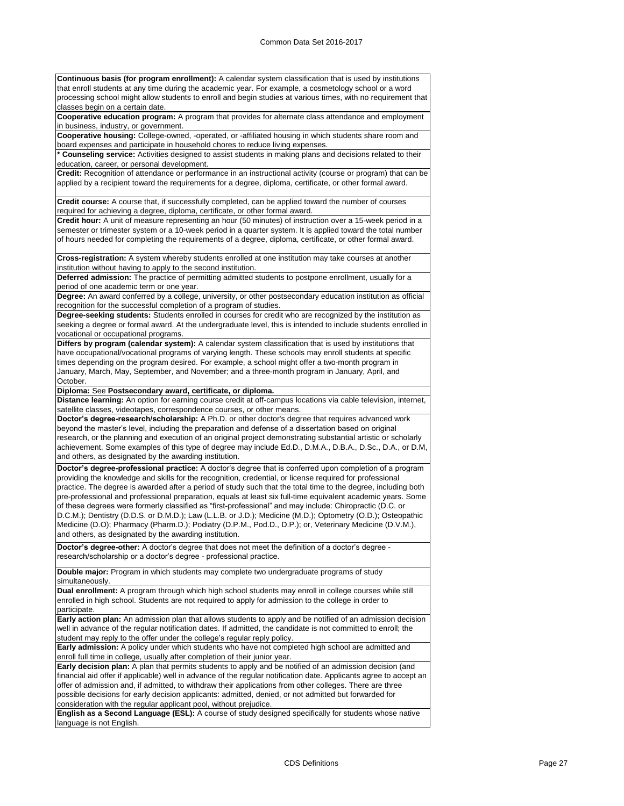**Continuous basis (for program enrollment):** A calendar system classification that is used by institutions that enroll students at any time during the academic year. For example, a cosmetology school or a word processing school might allow students to enroll and begin studies at various times, with no requirement that classes begin on a certain date.

**Cooperative education program:** A program that provides for alternate class attendance and employment in business, industry, or government.

**Cooperative housing:** College-owned, -operated, or -affiliated housing in which students share room and board expenses and participate in household chores to reduce living expenses.

**\* Counseling service:** Activities designed to assist students in making plans and decisions related to their education, career, or personal development.

**Credit:** Recognition of attendance or performance in an instructional activity (course or program) that can be applied by a recipient toward the requirements for a degree, diploma, certificate, or other formal award.

**Credit course:** A course that, if successfully completed, can be applied toward the number of courses required for achieving a degree, diploma, certificate, or other formal award.

**Credit hour:** A unit of measure representing an hour (50 minutes) of instruction over a 15-week period in a semester or trimester system or a 10-week period in a quarter system. It is applied toward the total number of hours needed for completing the requirements of a degree, diploma, certificate, or other formal award.

**Cross-registration:** A system whereby students enrolled at one institution may take courses at another institution without having to apply to the second institution.

**Deferred admission:** The practice of permitting admitted students to postpone enrollment, usually for a period of one academic term or one year.

**Degree:** An award conferred by a college, university, or other postsecondary education institution as official recognition for the successful completion of a program of studies.

**Degree-seeking students:** Students enrolled in courses for credit who are recognized by the institution as seeking a degree or formal award. At the undergraduate level, this is intended to include students enrolled in vocational or occupational programs.

**Differs by program (calendar system):** A calendar system classification that is used by institutions that have occupational/vocational programs of varying length. These schools may enroll students at specific times depending on the program desired. For example, a school might offer a two-month program in January, March, May, September, and November; and a three-month program in January, April, and October.

**Diploma:** See **Postsecondary award, certificate, or diploma.**

**Distance learning:** An option for earning course credit at off-campus locations via cable television, internet, satellite classes, videotapes, correspondence courses, or other means.

**Doctor's degree-research/scholarship:** A Ph.D. or other doctor's degree that requires advanced work beyond the master's level, including the preparation and defense of a dissertation based on original research, or the planning and execution of an original project demonstrating substantial artistic or scholarly achievement. Some examples of this type of degree may include Ed.D., D.M.A., D.B.A., D.Sc., D.A., or D.M, and others, as designated by the awarding institution.

**Doctor's degree-professional practice:** A doctor's degree that is conferred upon completion of a program providing the knowledge and skills for the recognition, credential, or license required for professional practice. The degree is awarded after a period of study such that the total time to the degree, including both pre-professional and professional preparation, equals at least six full-time equivalent academic years. Some of these degrees were formerly classified as "first-professional" and may include: Chiropractic (D.C. or D.C.M.); Dentistry (D.D.S. or D.M.D.); Law (L.L.B. or J.D.); Medicine (M.D.); Optometry (O.D.); Osteopathic Medicine (D.O); Pharmacy (Pharm.D.); Podiatry (D.P.M., Pod.D., D.P.); or, Veterinary Medicine (D.V.M.), and others, as designated by the awarding institution.

**Doctor's degree-other:** A doctor's degree that does not meet the definition of a doctor's degree research/scholarship or a doctor's degree - professional practice.

**Double major:** Program in which students may complete two undergraduate programs of study simultaneously.

**Dual enrollment:** A program through which high school students may enroll in college courses while still enrolled in high school. Students are not required to apply for admission to the college in order to participate.

**Early action plan:** An admission plan that allows students to apply and be notified of an admission decision well in advance of the regular notification dates. If admitted, the candidate is not committed to enroll; the student may reply to the offer under the college's regular reply policy.

**Early admission:** A policy under which students who have not completed high school are admitted and enroll full time in college, usually after completion of their junior year.

**Early decision plan:** A plan that permits students to apply and be notified of an admission decision (and financial aid offer if applicable) well in advance of the regular notification date. Applicants agree to accept an offer of admission and, if admitted, to withdraw their applications from other colleges. There are three possible decisions for early decision applicants: admitted, denied, or not admitted but forwarded for consideration with the regular applicant pool, without prejudice.

**English as a Second Language (ESL):** A course of study designed specifically for students whose native language is not English.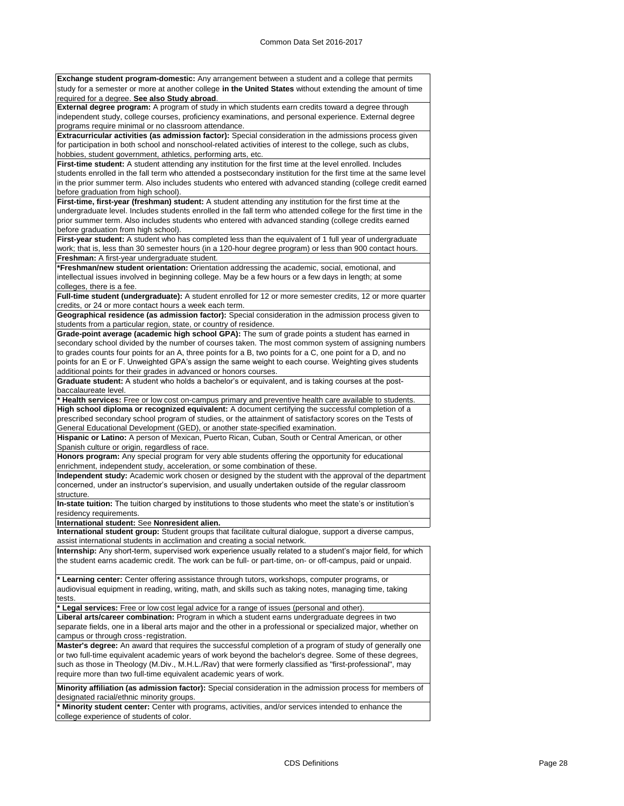**Exchange student program-domestic:** Any arrangement between a student and a college that permits study for a semester or more at another college **in the United States** without extending the amount of time required for a degree. **See also Study abroad**. **External degree program:** A program of study in which students earn credits toward a degree through independent study, college courses, proficiency examinations, and personal experience. External degree programs require minimal or no classroom attendance. **Extracurricular activities (as admission factor):** Special consideration in the admissions process given for participation in both school and nonschool-related activities of interest to the college, such as clubs, hobbies, student government, athletics, performing arts, etc. First-time student: A student attending any institution for the first time at the level enrolled. Includes students enrolled in the fall term who attended a postsecondary institution for the first time at the same level in the prior summer term. Also includes students who entered with advanced standing (college credit earned before graduation from high school). **First-time, first-year (freshman) student:** A student attending any institution for the first time at the undergraduate level. Includes students enrolled in the fall term who attended college for the first time in the prior summer term. Also includes students who entered with advanced standing (college credits earned before graduation from high school). First-year student: A student who has completed less than the equivalent of 1 full year of undergraduate work; that is, less than 30 semester hours (in a 120-hour degree program) or less than 900 contact hours. **Freshman:** A first-year undergraduate student. **\*Freshman/new student orientation:** Orientation addressing the academic, social, emotional, and intellectual issues involved in beginning college. May be a few hours or a few days in length; at some colleges, there is a fee. **Full-time student (undergraduate):** A student enrolled for 12 or more semester credits, 12 or more quarter credits, or 24 or more contact hours a week each term. **Geographical residence (as admission factor):** Special consideration in the admission process given to students from a particular region, state, or country of residence. **Grade-point average (academic high school GPA):** The sum of grade points a student has earned in secondary school divided by the number of courses taken. The most common system of assigning numbers to grades counts four points for an A, three points for a B, two points for a C, one point for a D, and no points for an E or F. Unweighted GPA's assign the same weight to each course. Weighting gives students additional points for their grades in advanced or honors courses. **Graduate student:** A student who holds a bachelor's or equivalent, and is taking courses at the postbaccalaureate level. **\* Health services:** Free or low cost on-campus primary and preventive health care available to students. **High school diploma or recognized equivalent:** A document certifying the successful completion of a prescribed secondary school program of studies, or the attainment of satisfactory scores on the Tests of General Educational Development (GED), or another state-specified examination. **Hispanic or Latino:** A person of Mexican, Puerto Rican, Cuban, South or Central American, or other Spanish culture or origin, regardless of race. **Honors program:** Any special program for very able students offering the opportunity for educational enrichment, independent study, acceleration, or some combination of these. **Independent study:** Academic work chosen or designed by the student with the approval of the department concerned, under an instructor's supervision, and usually undertaken outside of the regular classroom structure. **In-state tuition:** The tuition charged by institutions to those students who meet the state's or institution's residency requirements. **International student:** See **Nonresident alien. International student group:** Student groups that facilitate cultural dialogue, support a diverse campus, assist international students in acclimation and creating a social network. **Internship:** Any short-term, supervised work experience usually related to a student's major field, for which the student earns academic credit. The work can be full- or part-time, on- or off-campus, paid or unpaid. **\* Learning center:** Center offering assistance through tutors, workshops, computer programs, or audiovisual equipment in reading, writing, math, and skills such as taking notes, managing time, taking tests. **\* Legal services:** Free or low cost legal advice for a range of issues (personal and other). **Liberal arts/career combination:** Program in which a student earns undergraduate degrees in two separate fields, one in a liberal arts major and the other in a professional or specialized major, whether on campus or through cross-registration. **Master's degree:** An award that requires the successful completion of a program of study of generally one or two full-time equivalent academic years of work beyond the bachelor's degree. Some of these degrees, such as those in Theology (M.Div., M.H.L./Rav) that were formerly classified as "first-professional", may require more than two full-time equivalent academic years of work. **Minority affiliation (as admission factor):** Special consideration in the admission process for members of designated racial/ethnic minority groups. **\* Minority student center:** Center with programs, activities, and/or services intended to enhance the college experience of students of color.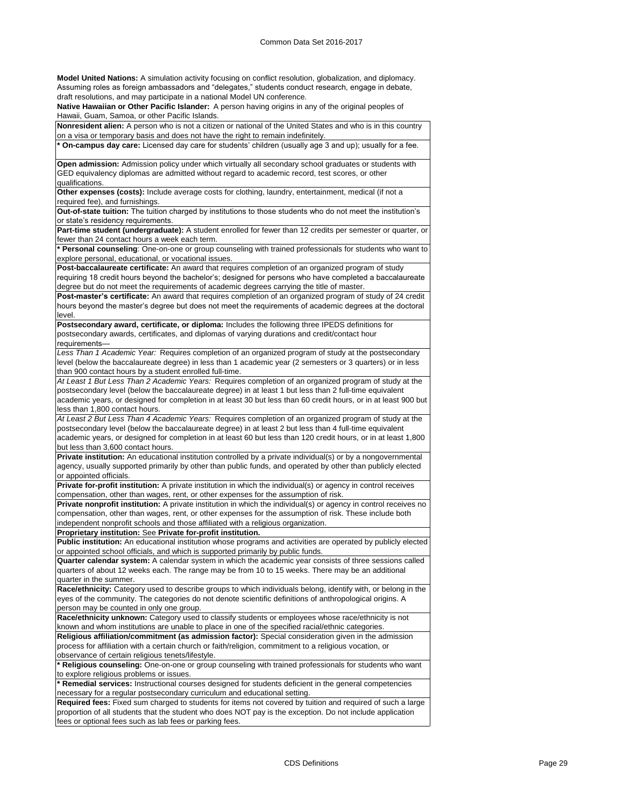**Model United Nations:** A simulation activity focusing on conflict resolution, globalization, and diplomacy. Assuming roles as foreign ambassadors and "delegates," students conduct research, engage in debate, draft resolutions, and may participate in a national Model UN conference.

**Native Hawaiian or Other Pacific Islander:** A person having origins in any of the original peoples of Hawaii, Guam, Samoa, or other Pacific Islands.

**Nonresident alien:** A person who is not a citizen or national of the United States and who is in this country on a visa or temporary basis and does not have the right to remain indefinitely. **\* On-campus day care:** Licensed day care for students' children (usually age 3 and up); usually for a fee. **Open admission:** Admission policy under which virtually all secondary school graduates or students with GED equivalency diplomas are admitted without regard to academic record, test scores, or other qualifications. **Other expenses (costs):** Include average costs for clothing, laundry, entertainment, medical (if not a required fee), and furnishings. **Out-of-state tuition:** The tuition charged by institutions to those students who do not meet the institution's or state's residency requirements. Part-time student (undergraduate): A student enrolled for fewer than 12 credits per semester or quarter, or fewer than 24 contact hours a week each term. **\* Personal counseling**: One-on-one or group counseling with trained professionals for students who want to explore personal, educational, or vocational issues. **Post-baccalaureate certificate:** An award that requires completion of an organized program of study requiring 18 credit hours beyond the bachelor's; designed for persons who have completed a baccalaureate degree but do not meet the requirements of academic degrees carrying the title of master. **Post-master's certificate:** An award that requires completion of an organized program of study of 24 credit hours beyond the master's degree but does not meet the requirements of academic degrees at the doctoral level. **Postsecondary award, certificate, or diploma:** Includes the following three IPEDS definitions for postsecondary awards, certificates, and diplomas of varying durations and credit/contact hour requirements— *Less Than 1 Academic Year:* Requires completion of an organized program of study at the postsecondary level (below the baccalaureate degree) in less than 1 academic year (2 semesters or 3 quarters) or in less than 900 contact hours by a student enrolled full-time. *At Least 1 But Less Than 2 Academic Years:* Requires completion of an organized program of study at the postsecondary level (below the baccalaureate degree) in at least 1 but less than 2 full-time equivalent academic years, or designed for completion in at least 30 but less than 60 credit hours, or in at least 900 but less than 1,800 contact hours. *At Least 2 But Less Than 4 Academic Years:* Requires completion of an organized program of study at the postsecondary level (below the baccalaureate degree) in at least 2 but less than 4 full-time equivalent academic years, or designed for completion in at least 60 but less than 120 credit hours, or in at least 1,800 but less than 3,600 contact hours. **Private institution:** An educational institution controlled by a private individual(s) or by a nongovernmental agency, usually supported primarily by other than public funds, and operated by other than publicly elected or appointed officials. **Private for-profit institution:** A private institution in which the individual(s) or agency in control receives compensation, other than wages, rent, or other expenses for the assumption of risk. **Private nonprofit institution:** A private institution in which the individual(s) or agency in control receives no compensation, other than wages, rent, or other expenses for the assumption of risk. These include both independent nonprofit schools and those affiliated with a religious organization. **Proprietary institution:** See **Private for-profit institution. Public institution:** An educational institution whose programs and activities are operated by publicly elected or appointed school officials, and which is supported primarily by public funds. **Quarter calendar system:** A calendar system in which the academic year consists of three sessions called quarters of about 12 weeks each. The range may be from 10 to 15 weeks. There may be an additional quarter in the summer. **Race/ethnicity:** Category used to describe groups to which individuals belong, identify with, or belong in the eyes of the community. The categories do not denote scientific definitions of anthropological origins. A person may be counted in only one group. **Race/ethnicity unknown:** Category used to classify students or employees whose race/ethnicity is not known and whom institutions are unable to place in one of the specified racial/ethnic categories. **Religious affiliation/commitment (as admission factor):** Special consideration given in the admission process for affiliation with a certain church or faith/religion, commitment to a religious vocation, or observance of certain religious tenets/lifestyle. **\* Religious counseling:** One-on-one or group counseling with trained professionals for students who want to explore religious problems or issues. **\* Remedial services:** Instructional courses designed for students deficient in the general competencies necessary for a regular postsecondary curriculum and educational setting. **Required fees:** Fixed sum charged to students for items not covered by tuition and required of such a large

proportion of all students that the student who does NOT pay is the exception. Do not include application fees or optional fees such as lab fees or parking fees.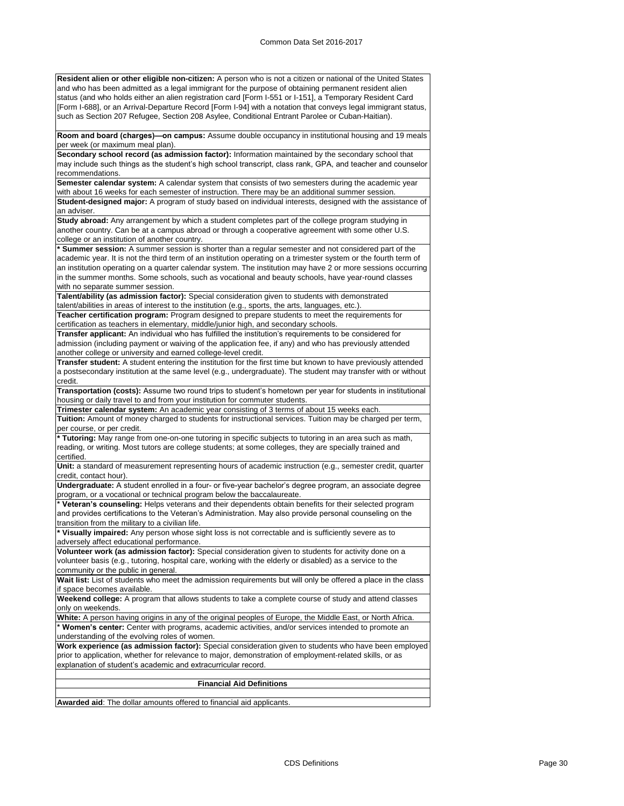**Resident alien or other eligible non-citizen:** A person who is not a citizen or national of the United States and who has been admitted as a legal immigrant for the purpose of obtaining permanent resident alien status (and who holds either an alien registration card [Form I-551 or I-151], a Temporary Resident Card [Form I-688], or an Arrival-Departure Record [Form I-94] with a notation that conveys legal immigrant status, such as Section 207 Refugee, Section 208 Asylee, Conditional Entrant Parolee or Cuban-Haitian).

**Room and board (charges)—on campus:** Assume double occupancy in institutional housing and 19 meals per week (or maximum meal plan).

**Secondary school record (as admission factor):** Information maintained by the secondary school that may include such things as the student's high school transcript, class rank, GPA, and teacher and counselor recommendations.

Semester calendar system: A calendar system that consists of two semesters during the academic year with about 16 weeks for each semester of instruction. There may be an additional summer session. **Student-designed major:** A program of study based on individual interests, designed with the assistance of an adviser.

**Study abroad:** Any arrangement by which a student completes part of the college program studying in another country. Can be at a campus abroad or through a cooperative agreement with some other U.S. college or an institution of another country.

**\* Summer session:** A summer session is shorter than a regular semester and not considered part of the academic year. It is not the third term of an institution operating on a trimester system or the fourth term of an institution operating on a quarter calendar system. The institution may have 2 or more sessions occurring in the summer months. Some schools, such as vocational and beauty schools, have year-round classes with no separate summer session.

**Talent/ability (as admission factor):** Special consideration given to students with demonstrated talent/abilities in areas of interest to the institution (e.g., sports, the arts, languages, etc.).

**Teacher certification program:** Program designed to prepare students to meet the requirements for certification as teachers in elementary, middle/junior high, and secondary schools.

**Transfer applicant:** An individual who has fulfilled the institution's requirements to be considered for admission (including payment or waiving of the application fee, if any) and who has previously attended another college or university and earned college-level credit.

**Transfer student:** A student entering the institution for the first time but known to have previously attended a postsecondary institution at the same level (e.g., undergraduate). The student may transfer with or without credit.

**Transportation (costs):** Assume two round trips to student's hometown per year for students in institutional housing or daily travel to and from your institution for commuter students.

**Trimester calendar system:** An academic year consisting of 3 terms of about 15 weeks each.

**Tuition:** Amount of money charged to students for instructional services. Tuition may be charged per term, per course, or per credit.

**\* Tutoring:** May range from one-on-one tutoring in specific subjects to tutoring in an area such as math, reading, or writing. Most tutors are college students; at some colleges, they are specially trained and certified.

**Unit:** a standard of measurement representing hours of academic instruction (e.g., semester credit, quarter credit, contact hour).

**Undergraduate:** A student enrolled in a four- or five-year bachelor's degree program, an associate degree program, or a vocational or technical program below the baccalaureate.

**\* Veteran's counseling:** Helps veterans and their dependents obtain benefits for their selected program and provides certifications to the Veteran's Administration. May also provide personal counseling on the transition from the military to a civilian life.

**\* Visually impaired:** Any person whose sight loss is not correctable and is sufficiently severe as to adversely affect educational performance.

**Volunteer work (as admission factor):** Special consideration given to students for activity done on a volunteer basis (e.g., tutoring, hospital care, working with the elderly or disabled) as a service to the community or the public in general.

**Wait list:** List of students who meet the admission requirements but will only be offered a place in the class if space becomes available.

**Weekend college:** A program that allows students to take a complete course of study and attend classes only on weekends.

**White:** A person having origins in any of the original peoples of Europe, the Middle East, or North Africa. **\* Women's center:** Center with programs, academic activities, and/or services intended to promote an understanding of the evolving roles of women.

**Work experience (as admission factor):** Special consideration given to students who have been employed prior to application, whether for relevance to major, demonstration of employment-related skills, or as explanation of student's academic and extracurricular record.

### **Financial Aid Definitions**

**Awarded aid**: The dollar amounts offered to financial aid applicants.